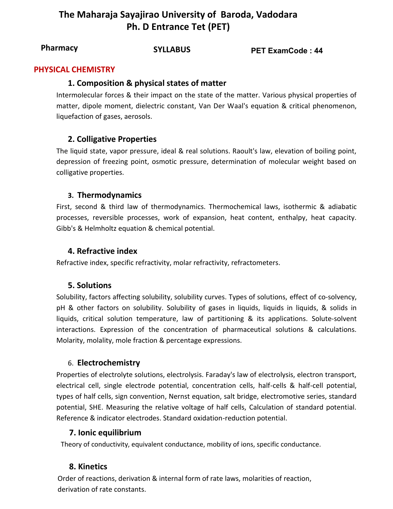# **The Maharaja Sayajirao University of Baroda, Vadodara Ph. D Entrance Tet (PET)**

**SYLLABUS PET ExamCode : <sup>44</sup> Pharmacy**

#### **PHYSICAL CHEMISTRY**

#### **1. Composition & physical states of matter**

Intermolecular forces & their impact on the state of the matter. Various physical properties of matter, dipole moment, dielectric constant, Van Der Waal's equation & critical phenomenon, liquefaction of gases, aerosols.

## **2. Colligative Properties**

The liquid state, vapor pressure, ideal & real solutions. Raoult's law, elevation of boiling point, depression of freezing point, osmotic pressure, determination of molecular weight based on colligative properties.

## **3. Thermodynamics**

First, second & third law of thermodynamics. Thermochemical laws, isothermic & adiabatic processes, reversible processes, work of expansion, heat content, enthalpy, heat capacity. Gibb's & Helmholtz equation & chemical potential.

#### **4. Refractive index**

Refractive index, specific refractivity, molar refractivity, refractometers.

#### **5. Solutions**

Solubility, factors affecting solubility, solubility curves. Types of solutions, effect of co-solvency, pH & other factors on solubility. Solubility of gases in liquids, liquids in liquids, & solids in liquids, critical solution temperature, law of partitioning & its applications. Solute-solvent interactions. Expression of the concentration of pharmaceutical solutions & calculations. Molarity, molality, mole fraction & percentage expressions.

#### 6. **Electrochemistry**

Properties of electrolyte solutions, electrolysis. Faraday's law of electrolysis, electron transport, electrical cell, single electrode potential, concentration cells, half-cells & half-cell potential, types of half cells, sign convention, Nernst equation, salt bridge, electromotive series, standard potential, SHE. Measuring the relative voltage of half cells, Calculation of standard potential. Reference & indicator electrodes. Standard oxidation-reduction potential.

#### **7. Ionic equilibrium**

Theory of conductivity, equivalent conductance, mobility of ions, specific conductance.

## **8. Kinetics**

Order of reactions, derivation & internal form of rate laws, molarities of reaction, derivation of rate constants.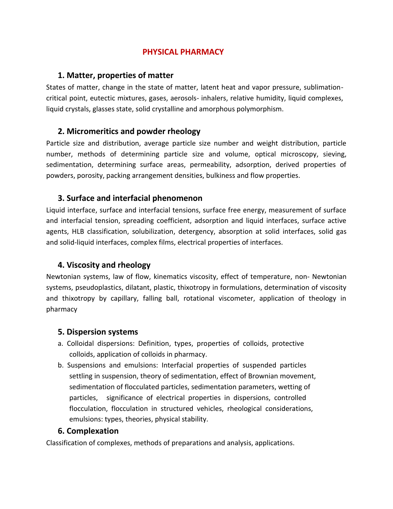## **PHYSICAL PHARMACY**

#### **1. Matter, properties of matter**

States of matter, change in the state of matter, latent heat and vapor pressure, sublimationcritical point, eutectic mixtures, gases, aerosols- inhalers, relative humidity, liquid complexes, liquid crystals, glasses state, solid crystalline and amorphous polymorphism.

## **2. Micromeritics and powder rheology**

Particle size and distribution, average particle size number and weight distribution, particle number, methods of determining particle size and volume, optical microscopy, sieving, sedimentation, determining surface areas, permeability, adsorption, derived properties of powders, porosity, packing arrangement densities, bulkiness and flow properties.

## **3. Surface and interfacial phenomenon**

Liquid interface, surface and interfacial tensions, surface free energy, measurement of surface and interfacial tension, spreading coefficient, adsorption and liquid interfaces, surface active agents, HLB classification, solubilization, detergency, absorption at solid interfaces, solid gas and solid-liquid interfaces, complex films, electrical properties of interfaces.

## **4. Viscosity and rheology**

Newtonian systems, law of flow, kinematics viscosity, effect of temperature, non- Newtonian systems, pseudoplastics, dilatant, plastic, thixotropy in formulations, determination of viscosity and thixotropy by capillary, falling ball, rotational viscometer, application of theology in pharmacy

## **5. Dispersion systems**

- a. Colloidal dispersions: Definition, types, properties of colloids, protective colloids, application of colloids in pharmacy.
- b. Suspensions and emulsions: Interfacial properties of suspended particles settling in suspension, theory of sedimentation, effect of Brownian movement, sedimentation of flocculated particles, sedimentation parameters, wetting of particles, significance of electrical properties in dispersions, controlled flocculation, flocculation in structured vehicles, rheological considerations, emulsions: types, theories, physical stability.

## **6. Complexation**

Classification of complexes, methods of preparations and analysis, applications.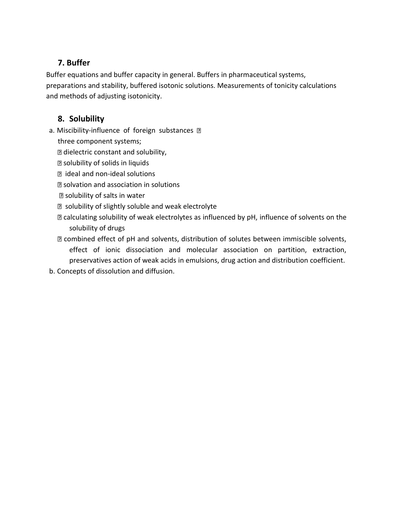# **7. Buffer**

Buffer equations and buffer capacity in general. Buffers in pharmaceutical systems, preparations and stability, buffered isotonic solutions. Measurements of tonicity calculations and methods of adjusting isotonicity.

## **8. Solubility**

- a. Miscibility-influence of foreign substances **D** 
	- three component systems;
	- **D** dielectric constant and solubility,
	- solubility of solids in liquids
	- ideal and non-ideal solutions
	- solvation and association in solutions
	- solubility of salts in water
	- **D** solubility of slightly soluble and weak electrolyte
	- **D** calculating solubility of weak electrolytes as influenced by pH, influence of solvents on the solubility of drugs
	- combined effect of pH and solvents, distribution of solutes between immiscible solvents, effect of ionic dissociation and molecular association on partition, extraction, preservatives action of weak acids in emulsions, drug action and distribution coefficient.
- b. Concepts of dissolution and diffusion.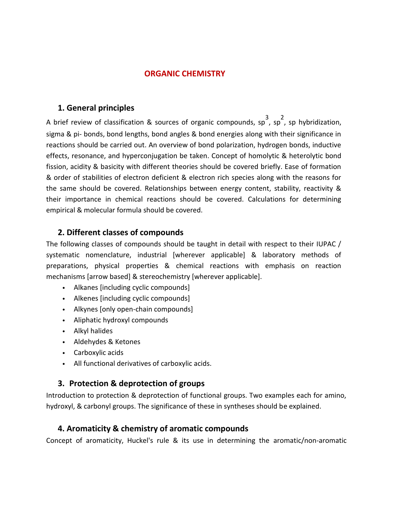#### **ORGANIC CHEMISTRY**

#### **1. General principles**

A brief review of classification & sources of organic compounds, sp<sup>3</sup>, sp<sup>2</sup>, sp hybridization, sigma & pi- bonds, bond lengths, bond angles & bond energies along with their significance in reactions should be carried out. An overview of bond polarization, hydrogen bonds, inductive effects, resonance, and hyperconjugation be taken. Concept of homolytic & heterolytic bond fission, acidity & basicity with different theories should be covered briefly. Ease of formation & order of stabilities of electron deficient & electron rich species along with the reasons for the same should be covered. Relationships between energy content, stability, reactivity & their importance in chemical reactions should be covered. Calculations for determining empirical & molecular formula should be covered.

## **2. Different classes of compounds**

The following classes of compounds should be taught in detail with respect to their IUPAC / systematic nomenclature, industrial [wherever applicable] & laboratory methods of preparations, physical properties & chemical reactions with emphasis on reaction mechanisms [arrow based] & stereochemistry [wherever applicable].

- Alkanes [including cyclic compounds]
- Alkenes [including cyclic compounds]
- Alkynes [only open-chain compounds]
- Aliphatic hydroxyl compounds
- Alkyl halides
- Aldehydes & Ketones
- Carboxylic acids
- All functional derivatives of carboxylic acids.

#### **3. Protection & deprotection of groups**

Introduction to protection & deprotection of functional groups. Two examples each for amino, hydroxyl, & carbonyl groups. The significance of these in syntheses should be explained.

#### **4. Aromaticity & chemistry of aromatic compounds**

Concept of aromaticity, Huckel's rule & its use in determining the aromatic/non-aromatic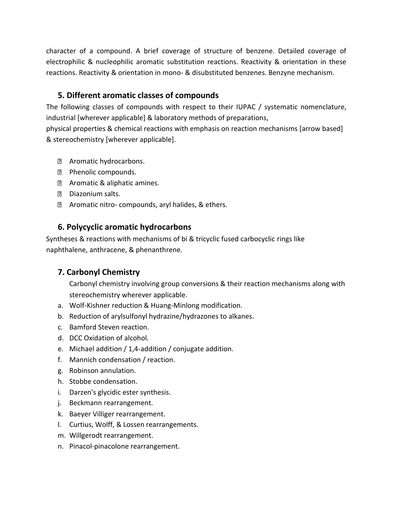character of a compound. A brief coverage of structure of benzene. Detailed coverage of electrophilic & nucleophilic aromatic substitution reactions. Reactivity & orientation in these reactions. Reactivity & orientation in mono- & disubstituted benzenes. Benzyne mechanism.

## **5. Different aromatic classes of compounds**

The following classes of compounds with respect to their IUPAC / systematic nomenclature, industrial [wherever applicable] & laboratory methods of preparations,

physical properties & chemical reactions with emphasis on reaction mechanisms [arrow based] & stereochemistry [wherever applicable].

- **E** Aromatic hydrocarbons.
- **Phenolic compounds.**
- **E** Aromatic & aliphatic amines.
- D Diazonium salts.
- **Z** Aromatic nitro- compounds, aryl halides, & ethers.

## **6. Polycyclic aromatic hydrocarbons**

Syntheses & reactions with mechanisms of bi & tricyclic fused carbocyclic rings like naphthalene, anthracene, & phenanthrene.

## **7. Carbonyl Chemistry**

Carbonyl chemistry involving group conversions & their reaction mechanisms along with stereochemistry wherever applicable.

- a. Wolf-Kishner reduction & Huang-Minlong modification.
- b. Reduction of arylsulfonyl hydrazine/hydrazones to alkanes.
- c. Bamford Steven reaction.
- d. DCC Oxidation of alcohol.
- e. Michael addition / 1,4-addition / conjugate addition.
- f. Mannich condensation / reaction.
- g. Robinson annulation.
- h. Stobbe condensation.
- i. Darzen's glycidic ester synthesis.
- j. Beckmann rearrangement.
- k. Baeyer Villiger rearrangement.
- l. Curtius, Wolff, & Lossen rearrangements.
- m. Willgerodt rearrangement.
- n. Pinacol-pinacolone rearrangement.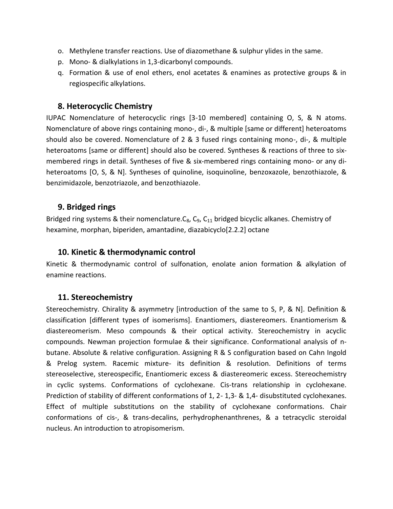- o. Methylene transfer reactions. Use of diazomethane & sulphur ylides in the same.
- p. Mono- & dialkylations in 1,3-dicarbonyl compounds.
- q. Formation & use of enol ethers, enol acetates & enamines as protective groups & in regiospecific alkylations.

#### **8. Heterocyclic Chemistry**

IUPAC Nomenclature of heterocyclic rings [3-10 membered] containing O, S, & N atoms. Nomenclature of above rings containing mono-, di-, & multiple [same or different] heteroatoms should also be covered. Nomenclature of 2 & 3 fused rings containing mono-, di-, & multiple heteroatoms [same or different] should also be covered. Syntheses & reactions of three to sixmembered rings in detail. Syntheses of five & six-membered rings containing mono- or any diheteroatoms [O, S, & N]. Syntheses of quinoline, isoquinoline, benzoxazole, benzothiazole, & benzimidazole, benzotriazole, and benzothiazole.

#### **9. Bridged rings**

Bridged ring systems & their nomenclature. $C_8$ ,  $C_9$ ,  $C_{11}$  bridged bicyclic alkanes. Chemistry of hexamine, morphan, biperiden, amantadine, diazabicyclo[2.2.2] octane

#### **10. Kinetic & thermodynamic control**

Kinetic & thermodynamic control of sulfonation, enolate anion formation & alkylation of enamine reactions.

#### **11. Stereochemistry**

Stereochemistry. Chirality & asymmetry [introduction of the same to S, P, & N]. Definition & classification [different types of isomerisms]. Enantiomers, diastereomers. Enantiomerism & diastereomerism. Meso compounds & their optical activity. Stereochemistry in acyclic compounds. Newman projection formulae & their significance. Conformational analysis of nbutane. Absolute & relative configuration. Assigning R & S configuration based on Cahn Ingold & Prelog system. Racemic mixture- its definition & resolution. Definitions of terms stereoselective, stereospecific, Enantiomeric excess & diastereomeric excess. Stereochemistry in cyclic systems. Conformations of cyclohexane. Cis-trans relationship in cyclohexane. Prediction of stability of different conformations of 1, 2- 1,3- & 1,4- disubstituted cyclohexanes. Effect of multiple substitutions on the stability of cyclohexane conformations. Chair conformations of cis-, & trans-decalins, perhydrophenanthrenes, & a tetracyclic steroidal nucleus. An introduction to atropisomerism.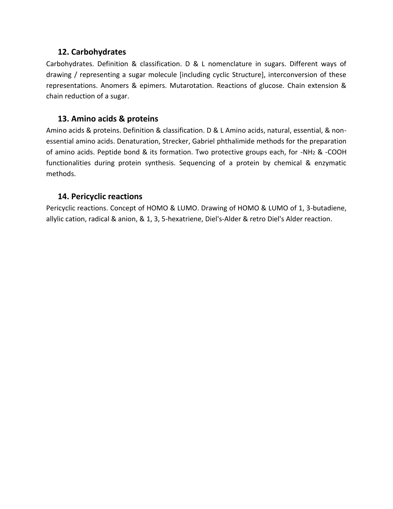#### **12. Carbohydrates**

Carbohydrates. Definition & classification. D & L nomenclature in sugars. Different ways of drawing / representing a sugar molecule [including cyclic Structure], interconversion of these representations. Anomers & epimers. Mutarotation. Reactions of glucose. Chain extension & chain reduction of a sugar.

## **13. Amino acids & proteins**

Amino acids & proteins. Definition & classification. D & L Amino acids, natural, essential, & nonessential amino acids. Denaturation, Strecker, Gabriel phthalimide methods for the preparation of amino acids. Peptide bond & its formation. Two protective groups each, for -NH<sup>2</sup> & -COOH functionalities during protein synthesis. Sequencing of a protein by chemical & enzymatic methods.

#### **14. Pericyclic reactions**

Pericyclic reactions. Concept of HOMO & LUMO. Drawing of HOMO & LUMO of 1, 3-butadiene, allylic cation, radical & anion, & 1, 3, 5-hexatriene, Diel's-Alder & retro Diel's Alder reaction.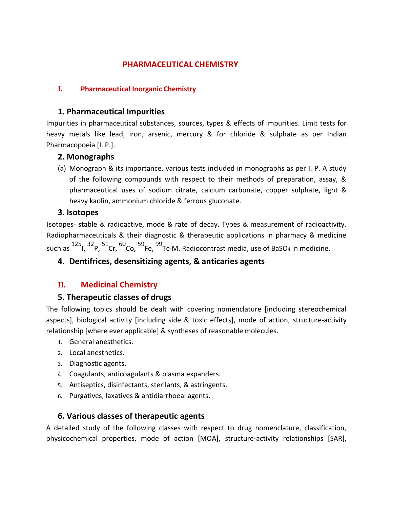## **PHARMACEUTICAL CHEMISTRY**

#### **I. Pharmaceutical Inorganic Chemistry**

## **1. Pharmaceutical Impurities**

Impurities in pharmaceutical substances, sources, types & effects of impurities. Limit tests for heavy metals like lead, iron, arsenic, mercury & for chloride & sulphate as per Indian Pharmacopoeia [I. P.].

#### **2. Monographs**

(a) Monograph & its importance, various tests included in monographs as per I. P. A study of the following compounds with respect to their methods of preparation, assay, & pharmaceutical uses of sodium citrate, calcium carbonate, copper sulphate, light & heavy kaolin, ammonium chloride & ferrous gluconate.

#### **3. Isotopes**

Isotopes- stable & radioactive, mode & rate of decay. Types & measurement of radioactivity. Radiopharmaceuticals & their diagnostic & therapeutic applications in pharmacy & medicine such as  $^{125}$ ,  $^{32}$ P,  $^{51}$ Cr,  $^{60}$ Co,  $^{59}$ Fe,  $^{99}$ Tc-M. Radiocontrast media, use of BaSO<sub>4</sub> in medicine.

## **4. Dentifrices, desensitizing agents, & anticaries agents**

## **II. Medicinal Chemistry**

## **5. Therapeutic classes of drugs**

The following topics should be dealt with covering nomenclature [including stereochemical aspects], biological activity [including side & toxic effects], mode of action, structure-activity relationship [where ever applicable] & syntheses of reasonable molecules.

- 1. General anesthetics.
- 2. Local anesthetics.
- 3. Diagnostic agents.
- 4. Coagulants, anticoagulants & plasma expanders.
- 5. Antiseptics, disinfectants, sterilants, & astringents.
- 6. Purgatives, laxatives & antidiarrhoeal agents.

## **6. Various classes of therapeutic agents**

A detailed study of the following classes with respect to drug nomenclature, classification, physicochemical properties, mode of action [MOA], structure-activity relationships [SAR],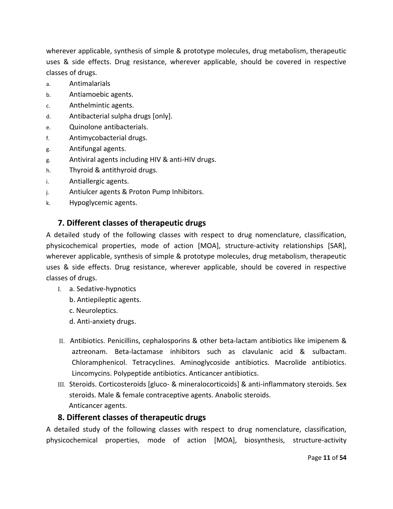wherever applicable, synthesis of simple & prototype molecules, drug metabolism, therapeutic uses & side effects. Drug resistance, wherever applicable, should be covered in respective classes of drugs.

- a. Antimalarials
- b. Antiamoebic agents.
- c. Anthelmintic agents.
- d. Antibacterial sulpha drugs [only].
- e. Quinolone antibacterials.
- f. Antimycobacterial drugs.
- g. Antifungal agents.
- g. Antiviral agents including HIV & anti-HIV drugs.
- h. Thyroid & antithyroid drugs.
- i. Antiallergic agents.
- j. Antiulcer agents & Proton Pump Inhibitors.
- k. Hypoglycemic agents.

## **7. Different classes of therapeutic drugs**

A detailed study of the following classes with respect to drug nomenclature, classification, physicochemical properties, mode of action [MOA], structure-activity relationships [SAR], wherever applicable, synthesis of simple & prototype molecules, drug metabolism, therapeutic uses & side effects. Drug resistance, wherever applicable, should be covered in respective classes of drugs.

- I. a. Sedative-hypnotics
	- b. Antiepileptic agents.
	- c. Neuroleptics.
	- d. Anti-anxiety drugs.
- II. Antibiotics. Penicillins, cephalosporins & other beta-lactam antibiotics like imipenem & aztreonam. Beta-lactamase inhibitors such as clavulanic acid & sulbactam. Chloramphenicol. Tetracyclines. Aminoglycoside antibiotics. Macrolide antibiotics. Lincomycins. Polypeptide antibiotics. Anticancer antibiotics.
- III. Steroids. Corticosteroids [gluco- & mineralocorticoids] & anti-inflammatory steroids. Sex steroids. Male & female contraceptive agents. Anabolic steroids. Anticancer agents.

## **8. Different classes of therapeutic drugs**

A detailed study of the following classes with respect to drug nomenclature, classification, physicochemical properties, mode of action [MOA], biosynthesis, structure-activity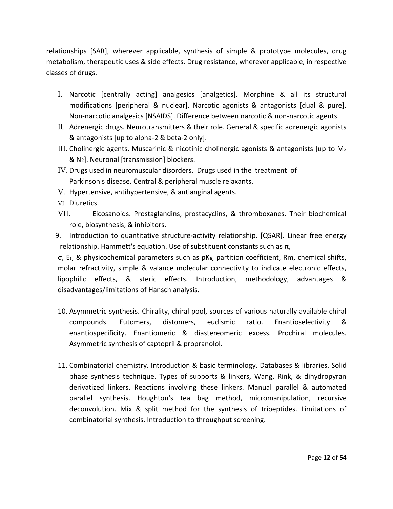relationships [SAR], wherever applicable, synthesis of simple & prototype molecules, drug metabolism, therapeutic uses & side effects. Drug resistance, wherever applicable, in respective classes of drugs.

- I. Narcotic [centrally acting] analgesics [analgetics]. Morphine & all its structural modifications [peripheral & nuclear]. Narcotic agonists & antagonists [dual & pure]. Non-narcotic analgesics [NSAIDS]. Difference between narcotic & non-narcotic agents.
- II. Adrenergic drugs. Neurotransmitters & their role. General & specific adrenergic agonists & antagonists [up to alpha-2 & beta-2 only].
- III. Cholinergic agents. Muscarinic & nicotinic cholinergic agonists & antagonists [up to M<sup>2</sup> & N2]. Neuronal [transmission] blockers.
- IV. Drugs used in neuromuscular disorders. Drugs used in the treatment of Parkinson's disease. Central & peripheral muscle relaxants.
- V. Hypertensive, antihypertensive, & antianginal agents.
- VI. Diuretics.
- VII. Eicosanoids. Prostaglandins, prostacyclins, & thromboxanes. Their biochemical role, biosynthesis, & inhibitors.
- 9. Introduction to quantitative structure-activity relationship. [QSAR]. Linear free energy relationship. Hammett's equation. Use of substituent constants such as  $π$ ,

σ, Es, & physicochemical parameters such as pKa, partition coefficient, Rm, chemical shifts, molar refractivity, simple & valance molecular connectivity to indicate electronic effects, lipophilic effects, & steric effects. Introduction, methodology, advantages & disadvantages/limitations of Hansch analysis.

- 10. Asymmetric synthesis. Chirality, chiral pool, sources of various naturally available chiral compounds. Eutomers, distomers, eudismic ratio. Enantioselectivity & enantiospecificity. Enantiomeric & diastereomeric excess. Prochiral molecules. Asymmetric synthesis of captopril & propranolol.
- 11. Combinatorial chemistry. Introduction & basic terminology. Databases & libraries. Solid phase synthesis technique. Types of supports & linkers, Wang, Rink, & dihydropyran derivatized linkers. Reactions involving these linkers. Manual parallel & automated parallel synthesis. Houghton's tea bag method, micromanipulation, recursive deconvolution. Mix & split method for the synthesis of tripeptides. Limitations of combinatorial synthesis. Introduction to throughput screening.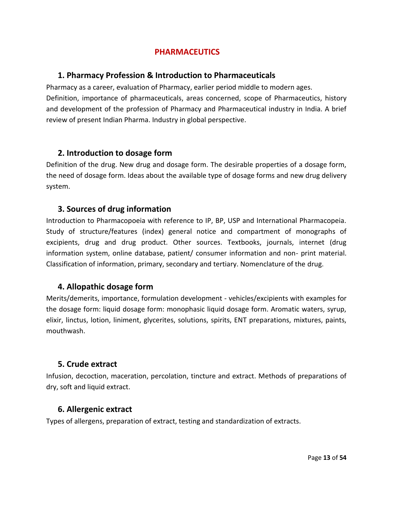## **PHARMACEUTICS**

#### **1. Pharmacy Profession & Introduction to Pharmaceuticals**

Pharmacy as a career, evaluation of Pharmacy, earlier period middle to modern ages. Definition, importance of pharmaceuticals, areas concerned, scope of Pharmaceutics, history and development of the profession of Pharmacy and Pharmaceutical industry in India. A brief review of present Indian Pharma. Industry in global perspective.

#### **2. Introduction to dosage form**

Definition of the drug. New drug and dosage form. The desirable properties of a dosage form, the need of dosage form. Ideas about the available type of dosage forms and new drug delivery system.

#### **3. Sources of drug information**

Introduction to Pharmacopoeia with reference to IP, BP, USP and International Pharmacopeia. Study of structure/features (index) general notice and compartment of monographs of excipients, drug and drug product. Other sources. Textbooks, journals, internet (drug information system, online database, patient/ consumer information and non- print material. Classification of information, primary, secondary and tertiary. Nomenclature of the drug.

## **4. Allopathic dosage form**

Merits/demerits, importance, formulation development - vehicles/excipients with examples for the dosage form: liquid dosage form: monophasic liquid dosage form. Aromatic waters, syrup, elixir, linctus, lotion, liniment, glycerites, solutions, spirits, ENT preparations, mixtures, paints, mouthwash.

## **5. Crude extract**

Infusion, decoction, maceration, percolation, tincture and extract. Methods of preparations of dry, soft and liquid extract.

#### **6. Allergenic extract**

Types of allergens, preparation of extract, testing and standardization of extracts.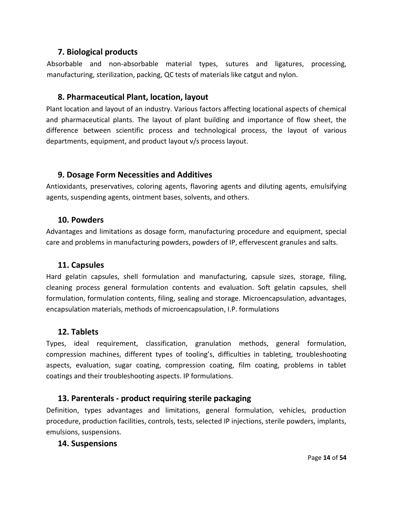#### **7. Biological products**

Absorbable and non-absorbable material types, sutures and ligatures, processing, manufacturing, sterilization, packing, QC tests of materials like catgut and nylon.

## **8. Pharmaceutical Plant, location, layout**

Plant location and layout of an industry. Various factors affecting locational aspects of chemical and pharmaceutical plants. The layout of plant building and importance of flow sheet, the difference between scientific process and technological process, the layout of various departments, equipment, and product layout v/s process layout.

## **9. Dosage Form Necessities and Additives**

Antioxidants, preservatives, coloring agents, flavoring agents and diluting agents, emulsifying agents, suspending agents, ointment bases, solvents, and others.

#### **10. Powders**

Advantages and limitations as dosage form, manufacturing procedure and equipment, special care and problems in manufacturing powders, powders of IP, effervescent granules and salts.

## **11. Capsules**

Hard gelatin capsules, shell formulation and manufacturing, capsule sizes, storage, filing, cleaning process general formulation contents and evaluation. Soft gelatin capsules, shell formulation, formulation contents, filing, sealing and storage. Microencapsulation, advantages, encapsulation materials, methods of microencapsulation, I.P. formulations

## **12. Tablets**

Types, ideal requirement, classification, granulation methods, general formulation, compression machines, different types of tooling's, difficulties in tableting, troubleshooting aspects, evaluation, sugar coating, compression coating, film coating, problems in tablet coatings and their troubleshooting aspects. IP formulations.

## **13. Parenterals - product requiring sterile packaging**

Definition, types advantages and limitations, general formulation, vehicles, production procedure, production facilities, controls, tests, selected IP injections, sterile powders, implants, emulsions, suspensions.

## **14. Suspensions**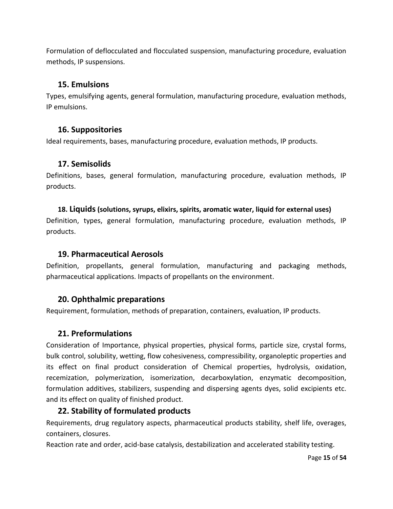Formulation of deflocculated and flocculated suspension, manufacturing procedure, evaluation methods, IP suspensions.

#### **15. Emulsions**

Types, emulsifying agents, general formulation, manufacturing procedure, evaluation methods, IP emulsions.

## **16. Suppositories**

Ideal requirements, bases, manufacturing procedure, evaluation methods, IP products.

#### **17. Semisolids**

Definitions, bases, general formulation, manufacturing procedure, evaluation methods, IP products.

#### **18. Liquids(solutions, syrups, elixirs, spirits, aromatic water, liquid for external uses)**

Definition, types, general formulation, manufacturing procedure, evaluation methods, IP products.

#### **19. Pharmaceutical Aerosols**

Definition, propellants, general formulation, manufacturing and packaging methods, pharmaceutical applications. Impacts of propellants on the environment.

## **20. Ophthalmic preparations**

Requirement, formulation, methods of preparation, containers, evaluation, IP products.

## **21. Preformulations**

Consideration of Importance, physical properties, physical forms, particle size, crystal forms, bulk control, solubility, wetting, flow cohesiveness, compressibility, organoleptic properties and its effect on final product consideration of Chemical properties, hydrolysis, oxidation, recemization, polymerization, isomerization, decarboxylation, enzymatic decomposition, formulation additives, stabilizers, suspending and dispersing agents dyes, solid excipients etc. and its effect on quality of finished product.

## **22. Stability of formulated products**

Requirements, drug regulatory aspects, pharmaceutical products stability, shelf life, overages, containers, closures.

Reaction rate and order, acid-base catalysis, destabilization and accelerated stability testing.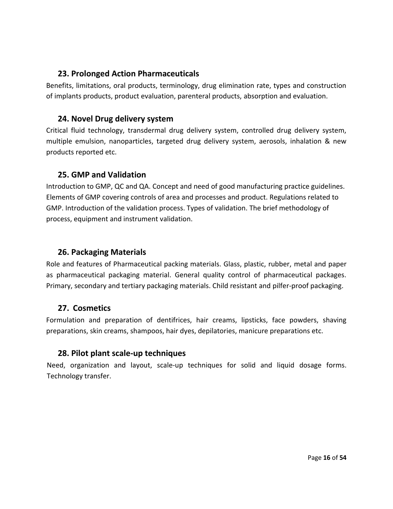## **23. Prolonged Action Pharmaceuticals**

Benefits, limitations, oral products, terminology, drug elimination rate, types and construction of implants products, product evaluation, parenteral products, absorption and evaluation.

## **24. Novel Drug delivery system**

Critical fluid technology, transdermal drug delivery system, controlled drug delivery system, multiple emulsion, nanoparticles, targeted drug delivery system, aerosols, inhalation & new products reported etc.

## **25. GMP and Validation**

Introduction to GMP, QC and QA. Concept and need of good manufacturing practice guidelines. Elements of GMP covering controls of area and processes and product. Regulations related to GMP. Introduction of the validation process. Types of validation. The brief methodology of process, equipment and instrument validation.

## **26. Packaging Materials**

Role and features of Pharmaceutical packing materials. Glass, plastic, rubber, metal and paper as pharmaceutical packaging material. General quality control of pharmaceutical packages. Primary, secondary and tertiary packaging materials. Child resistant and pilfer-proof packaging.

## **27. Cosmetics**

Formulation and preparation of dentifrices, hair creams, lipsticks, face powders, shaving preparations, skin creams, shampoos, hair dyes, depilatories, manicure preparations etc.

## **28. Pilot plant scale-up techniques**

Need, organization and layout, scale-up techniques for solid and liquid dosage forms. Technology transfer.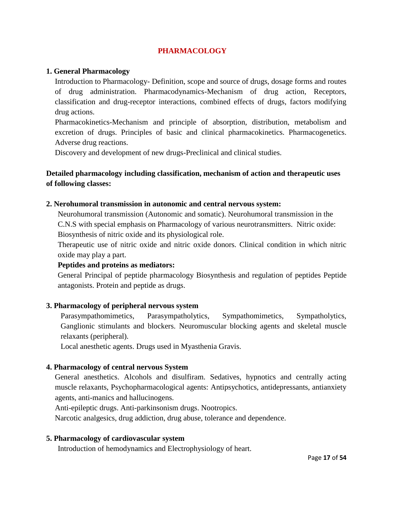#### **PHARMACOLOGY**

#### **1. General Pharmacology**

Introduction to Pharmacology- Definition, scope and source of drugs, dosage forms and routes of drug administration. Pharmacodynamics-Mechanism of drug action, Receptors, classification and drug-receptor interactions, combined effects of drugs, factors modifying drug actions.

Pharmacokinetics-Mechanism and principle of absorption, distribution, metabolism and excretion of drugs. Principles of basic and clinical pharmacokinetics. Pharmacogenetics. Adverse drug reactions.

Discovery and development of new drugs-Preclinical and clinical studies.

#### **Detailed pharmacology including classification, mechanism of action and therapeutic uses of following classes:**

#### **2. Nerohumoral transmission in autonomic and central nervous system:**

Neurohumoral transmission (Autonomic and somatic). Neurohumoral transmission in the C.N.S with special emphasis on Pharmacology of various neurotransmitters. Nitric oxide: Biosynthesis of nitric oxide and its physiological role.

Therapeutic use of nitric oxide and nitric oxide donors. Clinical condition in which nitric oxide may play a part.

#### **Peptides and proteins as mediators:**

General Principal of peptide pharmacology Biosynthesis and regulation of peptides Peptide antagonists. Protein and peptide as drugs.

#### **3. Pharmacology of peripheral nervous system**

Parasympathomimetics, Parasympatholytics, Sympathomimetics, Sympatholytics, Ganglionic stimulants and blockers. Neuromuscular blocking agents and skeletal muscle relaxants (peripheral).

Local anesthetic agents. Drugs used in Myasthenia Gravis.

#### **4. Pharmacology of central nervous System**

General anesthetics. Alcohols and disulfiram. Sedatives, hypnotics and centrally acting muscle relaxants, Psychopharmacological agents: Antipsychotics, antidepressants, antianxiety agents, anti-manics and hallucinogens.

Anti-epileptic drugs. Anti-parkinsonism drugs. Nootropics.

Narcotic analgesics, drug addiction, drug abuse, tolerance and dependence.

#### **5. Pharmacology of cardiovascular system**

Introduction of hemodynamics and Electrophysiology of heart.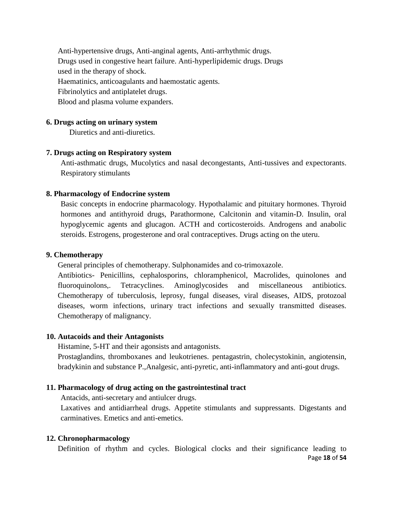Anti-hypertensive drugs, Anti-anginal agents, Anti-arrhythmic drugs. Drugs used in congestive heart failure. Anti-hyperlipidemic drugs. Drugs used in the therapy of shock. Haematinics, anticoagulants and haemostatic agents. Fibrinolytics and antiplatelet drugs. Blood and plasma volume expanders.

#### **6. Drugs acting on urinary system**

Diuretics and anti-diuretics.

#### **7. Drugs acting on Respiratory system**

Anti-asthmatic drugs, Mucolytics and nasal decongestants, Anti-tussives and expectorants. Respiratory stimulants

#### **8. Pharmacology of Endocrine system**

Basic concepts in endocrine pharmacology. Hypothalamic and pituitary hormones. Thyroid hormones and antithyroid drugs, Parathormone, Calcitonin and vitamin-D. Insulin, oral hypoglycemic agents and glucagon. ACTH and corticosteroids. Androgens and anabolic steroids. Estrogens, progesterone and oral contraceptives. Drugs acting on the uteru.

#### **9. Chemotherapy**

General principles of chemotherapy. Sulphonamides and co-trimoxazole.

Antibiotics- Penicillins, cephalosporins, chloramphenicol, Macrolides, quinolones and fluoroquinolons,. Tetracyclines. Aminoglycosides and miscellaneous antibiotics. Chemotherapy of tuberculosis, leprosy, fungal diseases, viral diseases, AIDS, protozoal diseases, worm infections, urinary tract infections and sexually transmitted diseases. Chemotherapy of malignancy.

#### **10. Autacoids and their Antagonists**

Histamine, 5-HT and their agonsists and antagonists.

Prostaglandins, thromboxanes and leukotrienes. pentagastrin, cholecystokinin, angiotensin, bradykinin and substance P.,Analgesic, anti-pyretic, anti-inflammatory and anti-gout drugs.

#### **11. Pharmacology of drug acting on the gastrointestinal tract**

Antacids, anti-secretary and antiulcer drugs.

Laxatives and antidiarrheal drugs. Appetite stimulants and suppressants. Digestants and carminatives. Emetics and anti-emetics.

#### **12. Chronopharmacology**

Page **18** of **54** Definition of rhythm and cycles. Biological clocks and their significance leading to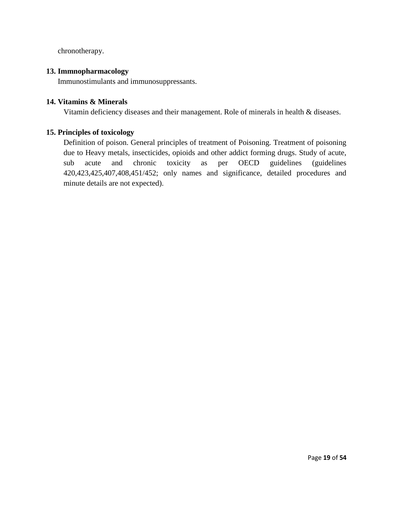chronotherapy.

#### **13. Immnopharmacology**

Immunostimulants and immunosuppressants.

#### **14. Vitamins & Minerals**

Vitamin deficiency diseases and their management. Role of minerals in health & diseases.

#### **15. Principles of toxicology**

Definition of poison. General principles of treatment of Poisoning. Treatment of poisoning due to Heavy metals, insecticides, opioids and other addict forming drugs. Study of acute, sub acute and chronic toxicity as per OECD guidelines (guidelines 420,423,425,407,408,451/452; only names and significance, detailed procedures and minute details are not expected).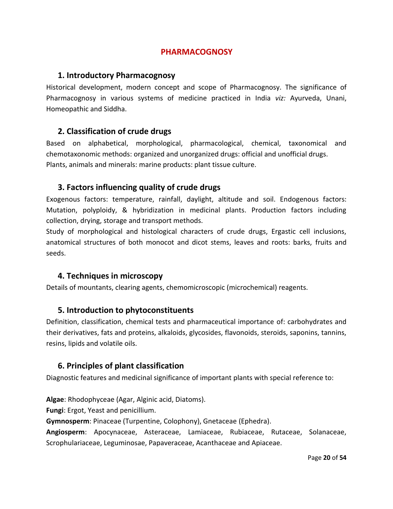## **PHARMACOGNOSY**

#### **1. Introductory Pharmacognosy**

Historical development, modern concept and scope of Pharmacognosy. The significance of Pharmacognosy in various systems of medicine practiced in India *viz:* Ayurveda, Unani, Homeopathic and Siddha.

## **2. Classification of crude drugs**

Based on alphabetical, morphological, pharmacological, chemical, taxonomical and chemotaxonomic methods: organized and unorganized drugs: official and unofficial drugs. Plants, animals and minerals: marine products: plant tissue culture.

## **3. Factors influencing quality of crude drugs**

Exogenous factors: temperature, rainfall, daylight, altitude and soil. Endogenous factors: Mutation, polyploidy, & hybridization in medicinal plants. Production factors including collection, drying, storage and transport methods.

Study of morphological and histological characters of crude drugs, Ergastic cell inclusions, anatomical structures of both monocot and dicot stems, leaves and roots: barks, fruits and seeds.

## **4. Techniques in microscopy**

Details of mountants, clearing agents, chemomicroscopic (microchemical) reagents.

## **5. Introduction to phytoconstituents**

Definition, classification, chemical tests and pharmaceutical importance of: carbohydrates and their derivatives, fats and proteins, alkaloids, glycosides, flavonoids, steroids, saponins, tannins, resins, lipids and volatile oils.

## **6. Principles of plant classification**

Diagnostic features and medicinal significance of important plants with special reference to:

**Algae**: Rhodophyceae (Agar, Alginic acid, Diatoms).

**Fungi**: Ergot, Yeast and penicillium.

**Gymnosperm**: Pinaceae (Turpentine, Colophony), Gnetaceae (Ephedra).

**Angiosperm**: Apocynaceae, Asteraceae, Lamiaceae, Rubiaceae, Rutaceae, Solanaceae, Scrophulariaceae, Leguminosae, Papaveraceae, Acanthaceae and Apiaceae.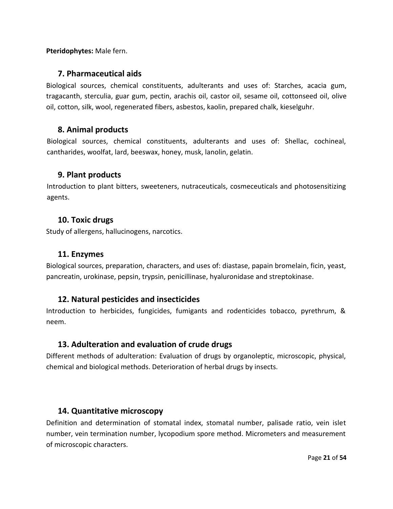**Pteridophytes:** Male fern.

#### **7. Pharmaceutical aids**

Biological sources, chemical constituents, adulterants and uses of: Starches, acacia gum, tragacanth, sterculia, guar gum, pectin, arachis oil, castor oil, sesame oil, cottonseed oil, olive oil, cotton, silk, wool, regenerated fibers, asbestos, kaolin, prepared chalk, kieselguhr.

#### **8. Animal products**

Biological sources, chemical constituents, adulterants and uses of: Shellac, cochineal, cantharides, woolfat, lard, beeswax, honey, musk, lanolin, gelatin.

#### **9. Plant products**

Introduction to plant bitters, sweeteners, nutraceuticals, cosmeceuticals and photosensitizing agents.

#### **10. Toxic drugs**

Study of allergens, hallucinogens, narcotics.

#### **11. Enzymes**

Biological sources, preparation, characters, and uses of: diastase, papain bromelain, ficin, yeast, pancreatin, urokinase, pepsin, trypsin, penicillinase, hyaluronidase and streptokinase.

#### **12. Natural pesticides and insecticides**

Introduction to herbicides, fungicides, fumigants and rodenticides tobacco, pyrethrum, & neem.

## **13. Adulteration and evaluation of crude drugs**

Different methods of adulteration: Evaluation of drugs by organoleptic, microscopic, physical, chemical and biological methods. Deterioration of herbal drugs by insects.

## **14. Quantitative microscopy**

Definition and determination of stomatal index, stomatal number, palisade ratio, vein islet number, vein termination number, lycopodium spore method. Micrometers and measurement of microscopic characters.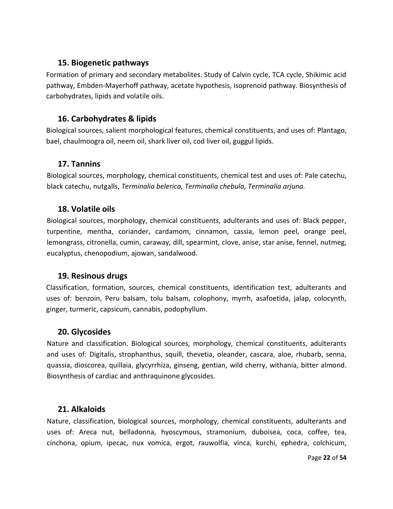## **15. Biogenetic pathways**

Formation of primary and secondary metabolites. Study of Calvin cycle, TCA cycle, Shikimic acid pathway, Embden-Mayerhoff pathway, acetate hypothesis, isoprenoid pathway. Biosynthesis of carbohydrates, lipids and volatile oils.

## **16. Carbohydrates & lipids**

Biological sources, salient morphological features, chemical constituents, and uses of: Plantago, bael, chaulmoogra oil, neem oil, shark liver oil, cod liver oil, guggul lipids.

## **17. Tannins**

Biological sources, morphology, chemical constituents, chemical test and uses of: Pale catechu, black catechu, nutgalls, *Terminalia belerica, Terminalia chebula, Terminalia arjuna.*

## **18. Volatile oils**

Biological sources, morphology, chemical constituents, adulterants and uses of: Black pepper, turpentine, mentha, coriander, cardamom, cinnamon, cassia, lemon peel, orange peel, lemongrass, citronella, cumin, caraway, dill, spearmint, clove, anise, star anise, fennel, nutmeg, eucalyptus, chenopodium, ajowan, sandalwood.

## **19. Resinous drugs**

Classification, formation, sources, chemical constituents, identification test, adulterants and uses of: benzoin, Peru balsam, tolu balsam, colophony, myrrh, asafoetida, jalap, colocynth, ginger, turmeric, capsicum, cannabis, podophyllum.

## **20. Glycosides**

Nature and classification. Biological sources, morphology, chemical constituents, adulterants and uses of: Digitalis, strophanthus, squill, thevetia, oleander, cascara, aloe, rhubarb, senna, quassia, dioscorea, quillaia, glycyrrhiza, ginseng, gentian, wild cherry, withania, bitter almond. Biosynthesis of cardiac and anthraquinone glycosides.

## **21. Alkaloids**

Nature, classification, biological sources, morphology, chemical constituents, adulterants and uses of: Areca nut, belladonna, hyoscymous, stramonium, duboisea, coca, coffee, tea, cinchona, opium, ipecac, nux vomica, ergot, rauwolfia, vinca, kurchi, ephedra, colchicum,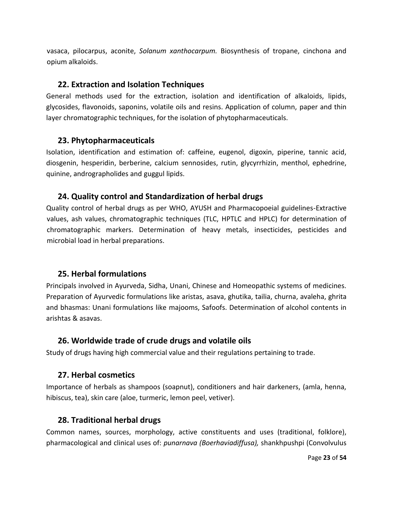vasaca, pilocarpus, aconite, *Solanum xanthocarpum.* Biosynthesis of tropane, cinchona and opium alkaloids.

#### **22. Extraction and Isolation Techniques**

General methods used for the extraction, isolation and identification of alkaloids, lipids, glycosides, flavonoids, saponins, volatile oils and resins. Application of column, paper and thin layer chromatographic techniques, for the isolation of phytopharmaceuticals.

## **23. Phytopharmaceuticals**

Isolation, identification and estimation of: caffeine, eugenol, digoxin, piperine, tannic acid, diosgenin, hesperidin, berberine, calcium sennosides, rutin, glycyrrhizin, menthol, ephedrine, quinine, andrographolides and guggul lipids.

## **24. Quality control and Standardization of herbal drugs**

Quality control of herbal drugs as per WHO, AYUSH and Pharmacopoeial guidelines-Extractive values, ash values, chromatographic techniques (TLC, HPTLC and HPLC) for determination of chromatographic markers. Determination of heavy metals, insecticides, pesticides and microbial load in herbal preparations.

## **25. Herbal formulations**

Principals involved in Ayurveda, Sidha, Unani, Chinese and Homeopathic systems of medicines. Preparation of Ayurvedic formulations like aristas, asava, ghutika, tailia, churna, avaleha, ghrita and bhasmas: Unani formulations like majooms, Safoofs. Determination of alcohol contents in arishtas & asavas.

## **26. Worldwide trade of crude drugs and volatile oils**

Study of drugs having high commercial value and their regulations pertaining to trade.

## **27. Herbal cosmetics**

Importance of herbals as shampoos (soapnut), conditioners and hair darkeners, (amla, henna, hibiscus, tea), skin care (aloe, turmeric, lemon peel, vetiver).

## **28. Traditional herbal drugs**

Common names, sources, morphology, active constituents and uses (traditional, folklore), pharmacological and clinical uses of: *punarnava (Boerhaviadiffusa),* shankhpushpi (Convolvulus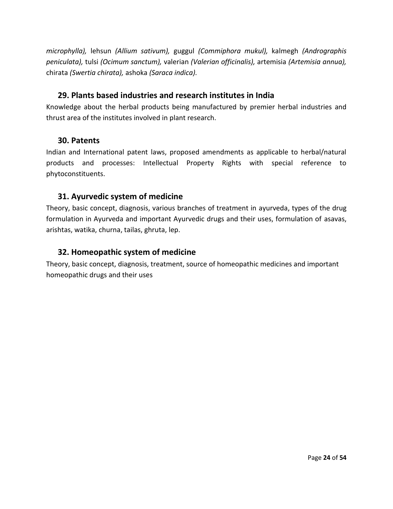*microphylla),* lehsun *(Allium sativum),* guggul *(Commiphora mukul),* kalmegh *(Andrographis peniculata),* tulsi *(Ocimum sanctum),* valerian *(Valerian officinalis),* artemisia *(Artemisia annua),*  chirata *(Swertia chirata),* ashoka *(Saraca indica).*

## **29. Plants based industries and research institutes in India**

Knowledge about the herbal products being manufactured by premier herbal industries and thrust area of the institutes involved in plant research.

#### **30. Patents**

Indian and International patent laws, proposed amendments as applicable to herbal/natural products and processes: Intellectual Property Rights with special reference to phytoconstituents.

## **31. Ayurvedic system of medicine**

Theory, basic concept, diagnosis, various branches of treatment in ayurveda, types of the drug formulation in Ayurveda and important Ayurvedic drugs and their uses, formulation of asavas, arishtas, watika, churna, tailas, ghruta, lep.

## **32. Homeopathic system of medicine**

Theory, basic concept, diagnosis, treatment, source of homeopathic medicines and important homeopathic drugs and their uses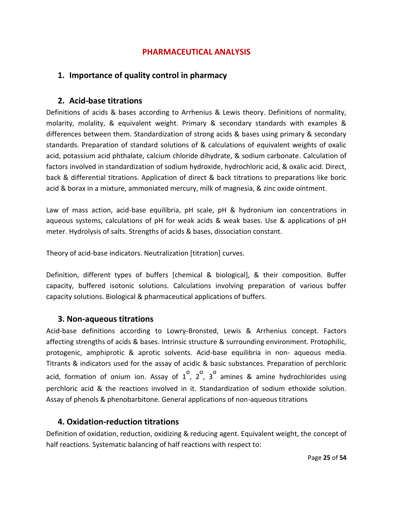#### **PHARMACEUTICAL ANALYSIS**

## **1. Importance of quality control in pharmacy**

#### **2. Acid-base titrations**

Definitions of acids & bases according to Arrhenius & Lewis theory. Definitions of normality, molarity, molality, & equivalent weight. Primary & secondary standards with examples & differences between them. Standardization of strong acids & bases using primary & secondary standards. Preparation of standard solutions of & calculations of equivalent weights of oxalic acid, potassium acid phthalate, calcium chloride dihydrate, & sodium carbonate. Calculation of factors involved in standardization of sodium hydroxide, hydrochloric acid, & oxalic acid. Direct, back & differential titrations. Application of direct & back titrations to preparations like boric acid & borax in a mixture, ammoniated mercury, milk of magnesia, & zinc oxide ointment.

Law of mass action, acid-base equilibria, pH scale, pH & hydronium ion concentrations in aqueous systems, calculations of pH for weak acids & weak bases. Use & applications of pH meter. Hydrolysis of salts. Strengths of acids & bases, dissociation constant.

Theory of acid-base indicators. Neutralization [titration] curves.

Definition, different types of buffers [chemical & biological], & their composition. Buffer capacity, buffered isotonic solutions. Calculations involving preparation of various buffer capacity solutions. Biological & pharmaceutical applications of buffers.

#### **3. Non-aqueous titrations**

Acid-base definitions according to Lowry-Bronsted, Lewis & Arrhenius concept. Factors affecting strengths of acids & bases. Intrinsic structure & surrounding environment. Protophilic, protogenic, amphiprotic & aprotic solvents. Acid-base equilibria in non- aqueous media. Titrants & indicators used for the assay of acidic & basic substances. Preparation of perchloric acid, formation of onium ion. Assay of  $1^{\circ}$ ,  $2^{\circ}$ ,  $3^{\circ}$  amines & amine hydrochlorides using perchloric acid & the reactions involved in it. Standardization of sodium ethoxide solution. Assay of phenols & phenobarbitone. General applications of non-aqueous titrations

#### **4. Oxidation-reduction titrations**

Definition of oxidation, reduction, oxidizing & reducing agent. Equivalent weight, the concept of half reactions. Systematic balancing of half reactions with respect to: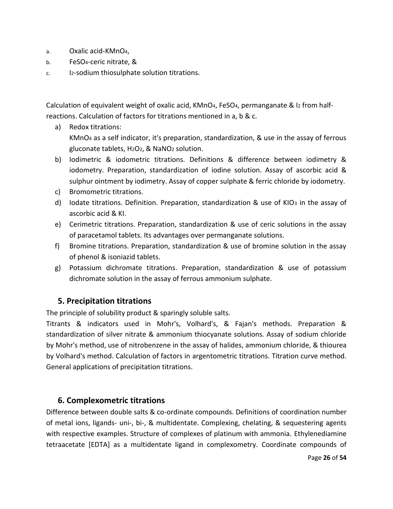- a. Oxalic acid-KMnO4,
- b. FeSO4-ceric nitrate, &
- c. I2-sodium thiosulphate solution titrations.

Calculation of equivalent weight of oxalic acid, KMnO<sub>4</sub>, FeSO<sub>4</sub>, permanganate & I2 from halfreactions. Calculation of factors for titrations mentioned in a, b & c.

- a) Redox titrations: KMnO<sup>4</sup> as a self indicator, it's preparation, standardization, & use in the assay of ferrous gluconate tablets, H2O2, & NaNO<sup>2</sup> solution.
- b) Iodimetric & iodometric titrations. Definitions & difference between iodimetry & iodometry. Preparation, standardization of iodine solution. Assay of ascorbic acid & sulphur ointment by iodimetry. Assay of copper sulphate & ferric chloride by iodometry.
- c) Bromometric titrations.
- d) Iodate titrations. Definition. Preparation, standardization & use of KIO3 in the assay of ascorbic acid & KI.
- e) Cerimetric titrations. Preparation, standardization & use of ceric solutions in the assay of paracetamol tablets. Its advantages over permanganate solutions.
- f) Bromine titrations. Preparation, standardization & use of bromine solution in the assay of phenol & isoniazid tablets.
- g) Potassium dichromate titrations. Preparation, standardization & use of potassium dichromate solution in the assay of ferrous ammonium sulphate.

# **5. Precipitation titrations**

The principle of solubility product & sparingly soluble salts.

Titrants & indicators used in Mohr's, Volhard's, & Fajan's methods. Preparation & standardization of silver nitrate & ammonium thiocyanate solutions. Assay of sodium chloride by Mohr's method, use of nitrobenzene in the assay of halides, ammonium chloride, & thiourea by Volhard's method. Calculation of factors in argentometric titrations. Titration curve method. General applications of precipitation titrations.

# **6. Complexometric titrations**

Difference between double salts & co-ordinate compounds. Definitions of coordination number of metal ions, ligands- uni-, bi-, & multidentate. Complexing, chelating, & sequestering agents with respective examples. Structure of complexes of platinum with ammonia. Ethylenediamine tetraacetate [EDTA] as a multidentate ligand in complexometry. Coordinate compounds of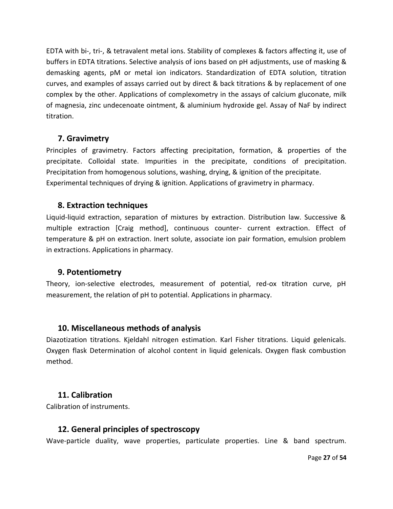EDTA with bi-, tri-, & tetravalent metal ions. Stability of complexes & factors affecting it, use of buffers in EDTA titrations. Selective analysis of ions based on pH adjustments, use of masking & demasking agents, pM or metal ion indicators. Standardization of EDTA solution, titration curves, and examples of assays carried out by direct & back titrations & by replacement of one complex by the other. Applications of complexometry in the assays of calcium gluconate, milk of magnesia, zinc undecenoate ointment, & aluminium hydroxide gel. Assay of NaF by indirect titration.

## **7. Gravimetry**

Principles of gravimetry. Factors affecting precipitation, formation, & properties of the precipitate. Colloidal state. Impurities in the precipitate, conditions of precipitation. Precipitation from homogenous solutions, washing, drying, & ignition of the precipitate. Experimental techniques of drying & ignition. Applications of gravimetry in pharmacy.

## **8. Extraction techniques**

Liquid-liquid extraction, separation of mixtures by extraction. Distribution law. Successive & multiple extraction [Craig method], continuous counter- current extraction. Effect of temperature & pH on extraction. Inert solute, associate ion pair formation, emulsion problem in extractions. Applications in pharmacy.

## **9. Potentiometry**

Theory, ion-selective electrodes, measurement of potential, red-ox titration curve, pH measurement, the relation of pH to potential. Applications in pharmacy.

## **10. Miscellaneous methods of analysis**

Diazotization titrations. Kjeldahl nitrogen estimation. Karl Fisher titrations. Liquid gelenicals. Oxygen flask Determination of alcohol content in liquid gelenicals. Oxygen flask combustion method.

## **11. Calibration**

Calibration of instruments.

#### **12. General principles of spectroscopy**

Wave-particle duality, wave properties, particulate properties. Line & band spectrum.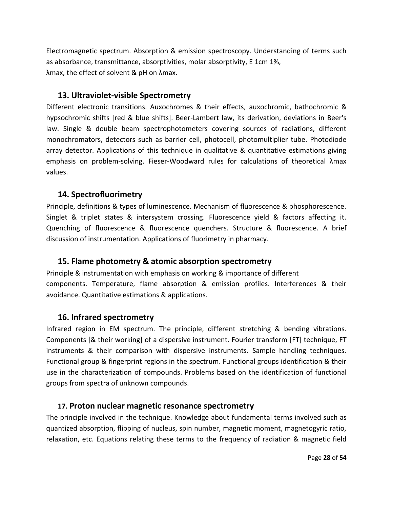Electromagnetic spectrum. Absorption & emission spectroscopy. Understanding of terms such as absorbance, transmittance, absorptivities, molar absorptivity, E 1cm 1%, λmax, the effect of solvent & pH on λmax.

## **13. Ultraviolet-visible Spectrometry**

Different electronic transitions. Auxochromes & their effects, auxochromic, bathochromic & hypsochromic shifts [red & blue shifts]. Beer-Lambert law, its derivation, deviations in Beer's law. Single & double beam spectrophotometers covering sources of radiations, different monochromators, detectors such as barrier cell, photocell, photomultiplier tube. Photodiode array detector. Applications of this technique in qualitative & quantitative estimations giving emphasis on problem-solving. Fieser-Woodward rules for calculations of theoretical λmax values.

# **14. Spectrofluorimetry**

Principle, definitions & types of luminescence. Mechanism of fluorescence & phosphorescence. Singlet & triplet states & intersystem crossing. Fluorescence yield & factors affecting it. Quenching of fluorescence & fluorescence quenchers. Structure & fluorescence. A brief discussion of instrumentation. Applications of fluorimetry in pharmacy.

## **15. Flame photometry & atomic absorption spectrometry**

Principle & instrumentation with emphasis on working & importance of different components. Temperature, flame absorption & emission profiles. Interferences & their avoidance. Quantitative estimations & applications.

## **16. Infrared spectrometry**

Infrared region in EM spectrum. The principle, different stretching & bending vibrations. Components [& their working] of a dispersive instrument. Fourier transform [FT] technique, FT instruments & their comparison with dispersive instruments. Sample handling techniques. Functional group & fingerprint regions in the spectrum. Functional groups identification & their use in the characterization of compounds. Problems based on the identification of functional groups from spectra of unknown compounds.

## **17. Proton nuclear magnetic resonance spectrometry**

The principle involved in the technique. Knowledge about fundamental terms involved such as quantized absorption, flipping of nucleus, spin number, magnetic moment, magnetogyric ratio, relaxation, etc. Equations relating these terms to the frequency of radiation & magnetic field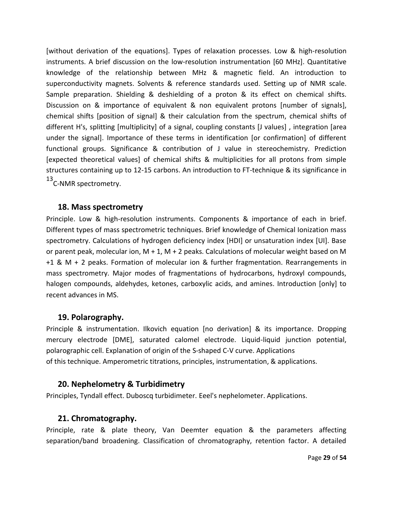[without derivation of the equations]. Types of relaxation processes. Low & high-resolution instruments. A brief discussion on the low-resolution instrumentation [60 MHz]. Quantitative knowledge of the relationship between MHz & magnetic field. An introduction to superconductivity magnets. Solvents & reference standards used. Setting up of NMR scale. Sample preparation. Shielding & deshielding of a proton & its effect on chemical shifts. Discussion on & importance of equivalent & non equivalent protons [number of signals], chemical shifts [position of signal] & their calculation from the spectrum, chemical shifts of different H's, splitting [multiplicity] of a signal, coupling constants [J values] , integration [area under the signal]. Importance of these terms in identification [or confirmation] of different functional groups. Significance & contribution of J value in stereochemistry. Prediction [expected theoretical values] of chemical shifts & multiplicities for all protons from simple structures containing up to 12-15 carbons. An introduction to FT-technique & its significance in 13<sub>C</sub>-NMR spectrometry.

#### **18. Mass spectrometry**

Principle. Low & high-resolution instruments. Components & importance of each in brief. Different types of mass spectrometric techniques. Brief knowledge of Chemical Ionization mass spectrometry. Calculations of hydrogen deficiency index [HDI] or unsaturation index [UI]. Base or parent peak, molecular ion,  $M + 1$ ,  $M + 2$  peaks. Calculations of molecular weight based on M +1 & M + 2 peaks. Formation of molecular ion & further fragmentation. Rearrangements in mass spectrometry. Major modes of fragmentations of hydrocarbons, hydroxyl compounds, halogen compounds, aldehydes, ketones, carboxylic acids, and amines. Introduction [only] to recent advances in MS.

#### **19. Polarography.**

Principle & instrumentation. Ilkovich equation [no derivation] & its importance. Dropping mercury electrode [DME], saturated calomel electrode. Liquid-liquid junction potential, polarographic cell. Explanation of origin of the S-shaped C-V curve. Applications of this technique. Amperometric titrations, principles, instrumentation, & applications.

#### **20. Nephelometry & Turbidimetry**

Principles, Tyndall effect. Duboscq turbidimeter. Eeel's nephelometer. Applications.

#### **21. Chromatography.**

Principle, rate & plate theory, Van Deemter equation & the parameters affecting separation/band broadening. Classification of chromatography, retention factor. A detailed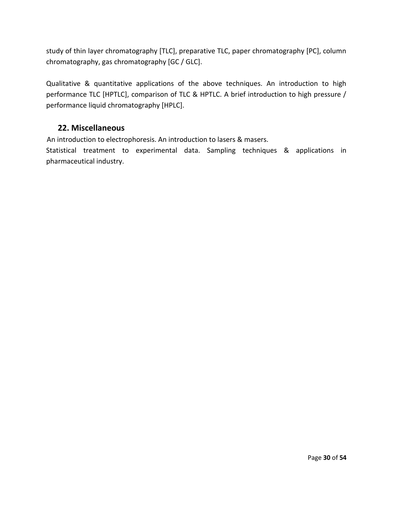study of thin layer chromatography [TLC], preparative TLC, paper chromatography [PC], column chromatography, gas chromatography [GC / GLC].

Qualitative & quantitative applications of the above techniques. An introduction to high performance TLC [HPTLC], comparison of TLC & HPTLC. A brief introduction to high pressure / performance liquid chromatography [HPLC].

## **22. Miscellaneous**

An introduction to electrophoresis. An introduction to lasers & masers.

Statistical treatment to experimental data. Sampling techniques & applications in pharmaceutical industry.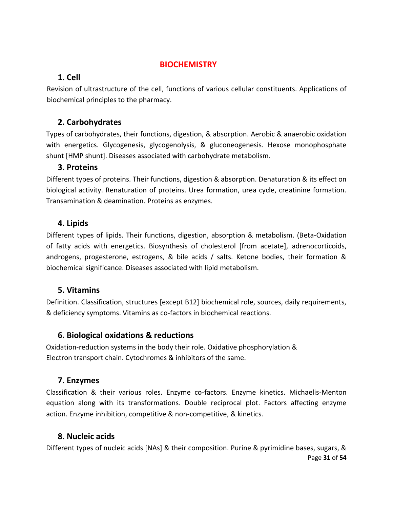## **BIOCHEMISTRY**

## **1. Cell**

Revision of ultrastructure of the cell, functions of various cellular constituents. Applications of biochemical principles to the pharmacy.

# **2. Carbohydrates**

Types of carbohydrates, their functions, digestion, & absorption. Aerobic & anaerobic oxidation with energetics. Glycogenesis, glycogenolysis, & gluconeogenesis. Hexose monophosphate shunt [HMP shunt]. Diseases associated with carbohydrate metabolism.

## **3. Proteins**

Different types of proteins. Their functions, digestion & absorption. Denaturation & its effect on biological activity. Renaturation of proteins. Urea formation, urea cycle, creatinine formation. Transamination & deamination. Proteins as enzymes.

## **4. Lipids**

Different types of lipids. Their functions, digestion, absorption & metabolism. (Beta-Oxidation of fatty acids with energetics. Biosynthesis of cholesterol [from acetate], adrenocorticoids, androgens, progesterone, estrogens, & bile acids / salts. Ketone bodies, their formation & biochemical significance. Diseases associated with lipid metabolism.

## **5. Vitamins**

Definition. Classification, structures [except B12] biochemical role, sources, daily requirements, & deficiency symptoms. Vitamins as co-factors in biochemical reactions.

## **6. Biological oxidations & reductions**

Oxidation-reduction systems in the body their role. Oxidative phosphorylation & Electron transport chain. Cytochromes & inhibitors of the same.

## **7. Enzymes**

Classification & their various roles. Enzyme co-factors. Enzyme kinetics. Michaelis-Menton equation along with its transformations. Double reciprocal plot. Factors affecting enzyme action. Enzyme inhibition, competitive & non-competitive, & kinetics.

## **8. Nucleic acids**

Page **31** of **54** Different types of nucleic acids [NAs] & their composition. Purine & pyrimidine bases, sugars, &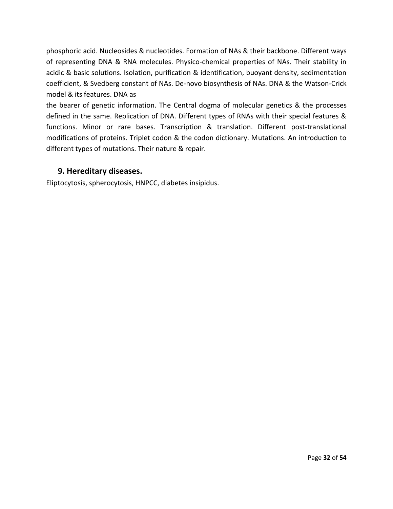phosphoric acid. Nucleosides & nucleotides. Formation of NAs & their backbone. Different ways of representing DNA & RNA molecules. Physico-chemical properties of NAs. Their stability in acidic & basic solutions. Isolation, purification & identification, buoyant density, sedimentation coefficient, & Svedberg constant of NAs. De-novo biosynthesis of NAs. DNA & the Watson-Crick model & its features. DNA as

the bearer of genetic information. The Central dogma of molecular genetics & the processes defined in the same. Replication of DNA. Different types of RNAs with their special features & functions. Minor or rare bases. Transcription & translation. Different post-translational modifications of proteins. Triplet codon & the codon dictionary. Mutations. An introduction to different types of mutations. Their nature & repair.

## **9. Hereditary diseases.**

Eliptocytosis, spherocytosis, HNPCC, diabetes insipidus.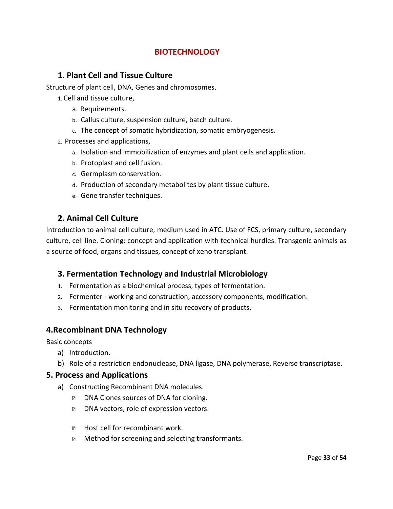## **BIOTECHNOLOGY**

#### **1. Plant Cell and Tissue Culture**

Structure of plant cell, DNA, Genes and chromosomes.

- 1. Cell and tissue culture,
	- a. Requirements.
	- b. Callus culture, suspension culture, batch culture.
	- c. The concept of somatic hybridization, somatic embryogenesis.
- 2. Processes and applications,
	- a. Isolation and immobilization of enzymes and plant cells and application.
	- b. Protoplast and cell fusion.
	- c. Germplasm conservation.
	- d. Production of secondary metabolites by plant tissue culture.
	- e. Gene transfer techniques.

## **2. Animal Cell Culture**

Introduction to animal cell culture, medium used in ATC. Use of FCS, primary culture, secondary culture, cell line. Cloning: concept and application with technical hurdles. Transgenic animals as a source of food, organs and tissues, concept of xeno transplant.

#### **3. Fermentation Technology and Industrial Microbiology**

- 1. Fermentation as a biochemical process, types of fermentation.
- 2. Fermenter working and construction, accessory components, modification.
- 3. Fermentation monitoring and in situ recovery of products.

## **4.Recombinant DNA Technology**

Basic concepts

- a) Introduction.
- b) Role of a restriction endonuclease, DNA ligase, DNA polymerase, Reverse transcriptase.

#### **5. Process and Applications**

- a) Constructing Recombinant DNA molecules.
	- $\overline{?}$ DNA Clones sources of DNA for cloning.
	- $\overline{2}$ DNA vectors, role of expression vectors.
	- **E** Host cell for recombinant work.
	- Method for screening and selecting transformants.  $\overline{2}$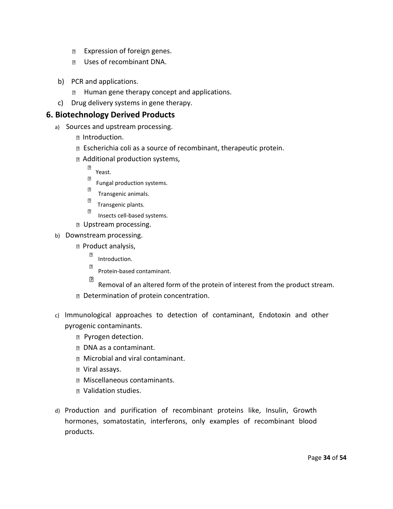- Expression of foreign genes.  $\overline{2}$
- Uses of recombinant DNA.  $\overline{2}$
- b) PCR and applications.
	- **E** Human gene therapy concept and applications.
- c) Drug delivery systems in gene therapy.

## **6. Biotechnology Derived Products**

- a) Sources and upstream processing.
	- **D** Introduction.
	- Escherichia coli as a source of recombinant, therapeutic protein.
	- Additional production systems,
		- $\overline{?}$ Yeast.
		- $\overline{2}$ Fungal production systems.
		- $\overline{?}$ Transgenic animals.
		- $\boxed{2}$ Transgenic plants.
		- $\overline{2}$ Insects cell-based systems.
	- D Upstream processing.
- b) Downstream processing.
	- **P** Product analysis,
		- $\overline{2}$ Introduction.
		- $\overline{2}$ Protein-based contaminant.
	- $\overline{\mathbf{E}}$ Removal of an altered form of the protein of interest from the product stream. Determination of protein concentration.
- c) Immunological approaches to detection of contaminant, Endotoxin and other pyrogenic contaminants.
	- **Pyrogen detection.**
	- **DNA** as a contaminant.
	- **Microbial and viral contaminant.**
	- Viral assays.
	- Miscellaneous contaminants.
	- Validation studies.
- d) Production and purification of recombinant proteins like, Insulin, Growth hormones, somatostatin, interferons, only examples of recombinant blood products.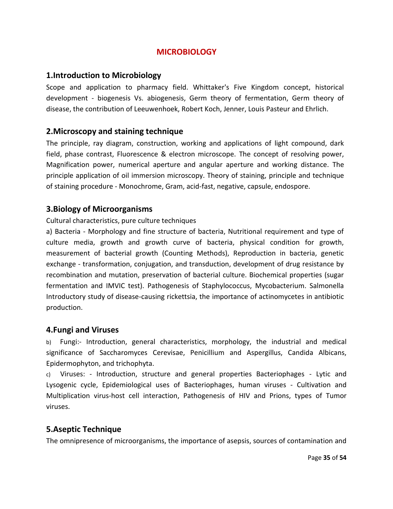## **MICROBIOLOGY**

#### **1.Introduction to Microbiology**

Scope and application to pharmacy field. Whittaker's Five Kingdom concept, historical development - biogenesis Vs. abiogenesis, Germ theory of fermentation, Germ theory of disease, the contribution of Leeuwenhoek, Robert Koch, Jenner, Louis Pasteur and Ehrlich.

## **2.Microscopy and staining technique**

The principle, ray diagram, construction, working and applications of light compound, dark field, phase contrast, Fluorescence & electron microscope. The concept of resolving power, Magnification power, numerical aperture and angular aperture and working distance. The principle application of oil immersion microscopy. Theory of staining, principle and technique of staining procedure - Monochrome, Gram, acid-fast, negative, capsule, endospore.

#### **3.Biology of Microorganisms**

#### Cultural characteristics, pure culture techniques

a) Bacteria - Morphology and fine structure of bacteria, Nutritional requirement and type of culture media, growth and growth curve of bacteria, physical condition for growth, measurement of bacterial growth (Counting Methods), Reproduction in bacteria, genetic exchange - transformation, conjugation, and transduction, development of drug resistance by recombination and mutation, preservation of bacterial culture. Biochemical properties (sugar fermentation and IMVIC test). Pathogenesis of Staphylococcus, Mycobacterium. Salmonella Introductory study of disease-causing rickettsia, the importance of actinomycetes in antibiotic production.

#### **4.Fungi and Viruses**

b) Fungi:- Introduction, general characteristics, morphology, the industrial and medical significance of Saccharomyces Cerevisae, Penicillium and Aspergillus, Candida Albicans, Epidermophyton, and trichophyta.

c) Viruses: - Introduction, structure and general properties Bacteriophages - Lytic and Lysogenic cycle, Epidemiological uses of Bacteriophages, human viruses - Cultivation and Multiplication virus-host cell interaction, Pathogenesis of HIV and Prions, types of Tumor viruses.

#### **5.Aseptic Technique**

The omnipresence of microorganisms, the importance of asepsis, sources of contamination and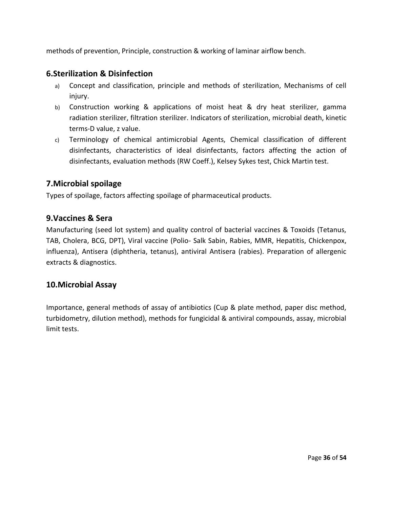methods of prevention, Principle, construction & working of laminar airflow bench.

## **6.Sterilization & Disinfection**

- a) Concept and classification, principle and methods of sterilization, Mechanisms of cell injury.
- b) Construction working & applications of moist heat & dry heat sterilizer, gamma radiation sterilizer, filtration sterilizer. Indicators of sterilization, microbial death, kinetic terms-D value, z value.
- c) Terminology of chemical antimicrobial Agents, Chemical classification of different disinfectants, characteristics of ideal disinfectants, factors affecting the action of disinfectants, evaluation methods (RW Coeff.), Kelsey Sykes test, Chick Martin test.

## **7.Microbial spoilage**

Types of spoilage, factors affecting spoilage of pharmaceutical products.

## **9.Vaccines & Sera**

Manufacturing (seed lot system) and quality control of bacterial vaccines & Toxoids (Tetanus, TAB, Cholera, BCG, DPT), Viral vaccine (Polio- Salk Sabin, Rabies, MMR, Hepatitis, Chickenpox, influenza), Antisera (diphtheria, tetanus), antiviral Antisera (rabies). Preparation of allergenic extracts & diagnostics.

## **10.Microbial Assay**

Importance, general methods of assay of antibiotics (Cup & plate method, paper disc method, turbidometry, dilution method), methods for fungicidal & antiviral compounds, assay, microbial limit tests.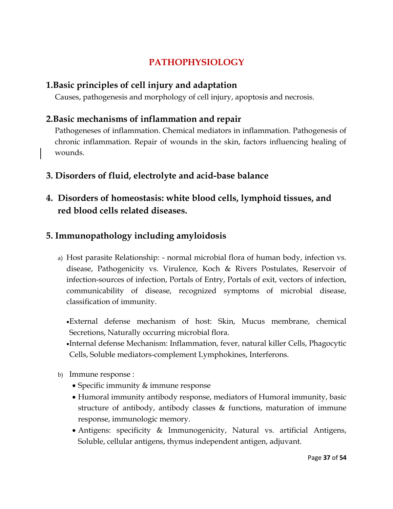# **PATHOPHYSIOLOGY**

# **1.Basic principles of cell injury and adaptation**

Causes, pathogenesis and morphology of cell injury, apoptosis and necrosis.

# **2.Basic mechanisms of inflammation and repair**

Pathogeneses of inflammation. Chemical mediators in inflammation. Pathogenesis of chronic inflammation. Repair of wounds in the skin, factors influencing healing of wounds.

- **3. Disorders of fluid, electrolyte and acid-base balance**
- **4. Disorders of homeostasis: white blood cells, lymphoid tissues, and red blood cells related diseases.**

# **5. Immunopathology including amyloidosis**

- a) Host parasite Relationship: normal microbial flora of human body, infection vs. disease, Pathogenicity vs. Virulence, Koch & Rivers Postulates, Reservoir of infection-sources of infection, Portals of Entry, Portals of exit, vectors of infection, communicability of disease, recognized symptoms of microbial disease, classification of immunity.
	- External defense mechanism of host: Skin, Mucus membrane, chemical Secretions, Naturally occurring microbial flora.
	- Internal defense Mechanism: Inflammation, fever, natural killer Cells, Phagocytic Cells, Soluble mediators-complement Lymphokines, Interferons.
- b) Immune response :
	- Specific immunity & immune response
	- Humoral immunity antibody response, mediators of Humoral immunity, basic structure of antibody, antibody classes  $\&$  functions, maturation of immune response, immunologic memory.
	- Antigens: specificity & Immunogenicity, Natural vs. artificial Antigens, Soluble, cellular antigens, thymus independent antigen, adjuvant.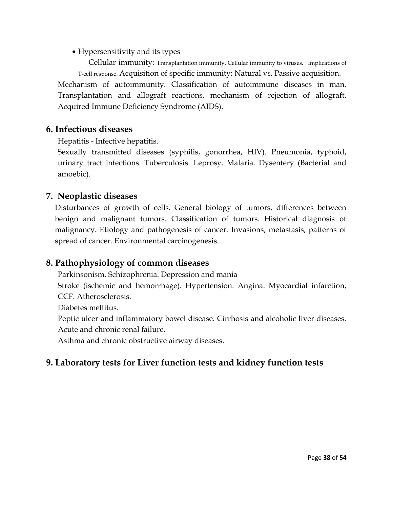• Hypersensitivity and its types

 Cellular immunity: Transplantation immunity, Cellular immunity to viruses, Implications of T-cell response. Acquisition of specific immunity: Natural vs. Passive acquisition. Mechanism of autoimmunity. Classification of autoimmune diseases in man. Transplantation and allograft reactions, mechanism of rejection of allograft. Acquired Immune Deficiency Syndrome (AIDS).

## **6. Infectious diseases**

Hepatitis - Infective hepatitis.

Sexually transmitted diseases (syphilis, gonorrhea, HIV). Pneumonia, typhoid, urinary tract infections. Tuberculosis. Leprosy. Malaria. Dysentery (Bacterial and amoebic).

# **7. Neoplastic diseases**

Disturbances of growth of cells. General biology of tumors, differences between benign and malignant tumors. Classification of tumors. Historical diagnosis of malignancy. Etiology and pathogenesis of cancer. Invasions, metastasis, patterns of spread of cancer. Environmental carcinogenesis.

# **8. Pathophysiology of common diseases**

Parkinsonism. Schizophrenia. Depression and mania

Stroke (ischemic and hemorrhage). Hypertension. Angina. Myocardial infarction, CCF. Atherosclerosis.

Diabetes mellitus.

Peptic ulcer and inflammatory bowel disease. Cirrhosis and alcoholic liver diseases. Acute and chronic renal failure.

Asthma and chronic obstructive airway diseases.

# **9. Laboratory tests for Liver function tests and kidney function tests**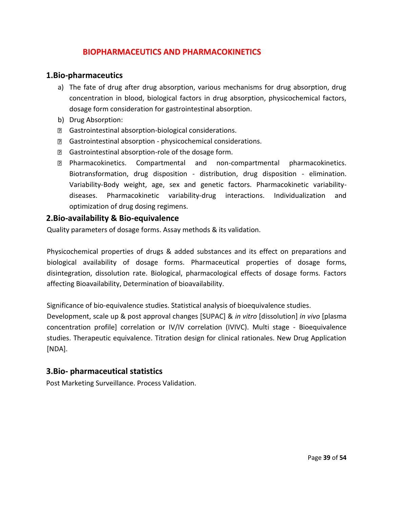## **BIOPHARMACEUTICS AND PHARMACOKINETICS**

#### **1.Bio-pharmaceutics**

- a) The fate of drug after drug absorption, various mechanisms for drug absorption, drug concentration in blood, biological factors in drug absorption, physicochemical factors, dosage form consideration for gastrointestinal absorption.
- b) Drug Absorption:
- Gastrointestinal absorption-biological considerations.
- Gastrointestinal absorption physicochemical considerations.
- **B** Gastrointestinal absorption-role of the dosage form.
- Pharmacokinetics. Compartmental and non-compartmental pharmacokinetics. Biotransformation, drug disposition - distribution, drug disposition - elimination. Variability-Body weight, age, sex and genetic factors. Pharmacokinetic variabilitydiseases. Pharmacokinetic variability-drug interactions. Individualization and optimization of drug dosing regimens.

#### **2.Bio-availability & Bio-equivalence**

Quality parameters of dosage forms. Assay methods & its validation.

Physicochemical properties of drugs & added substances and its effect on preparations and biological availability of dosage forms. Pharmaceutical properties of dosage forms, disintegration, dissolution rate. Biological, pharmacological effects of dosage forms. Factors affecting Bioavailability, Determination of bioavailability.

Significance of bio-equivalence studies. Statistical analysis of bioequivalence studies.

Development, scale up & post approval changes [SUPAC] & *in vitro* [dissolution] *in vivo* [plasma concentration profile] correlation or IV/IV correlation (IVIVC). Multi stage - Bioequivalence studies. Therapeutic equivalence. Titration design for clinical rationales. New Drug Application [NDA].

## **3.Bio- pharmaceutical statistics**

Post Marketing Surveillance. Process Validation.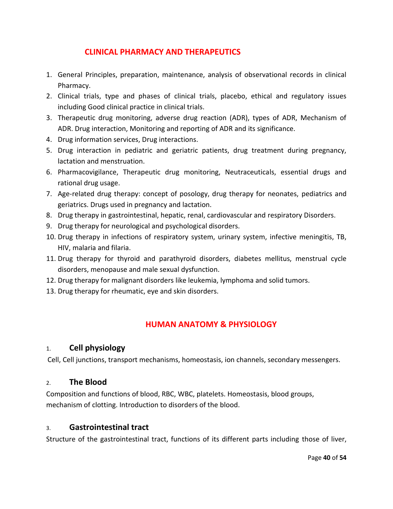## **CLINICAL PHARMACY AND THERAPEUTICS**

- 1. General Principles, preparation, maintenance, analysis of observational records in clinical Pharmacy.
- 2. Clinical trials, type and phases of clinical trials, placebo, ethical and regulatory issues including Good clinical practice in clinical trials.
- 3. Therapeutic drug monitoring, adverse drug reaction (ADR), types of ADR, Mechanism of ADR. Drug interaction, Monitoring and reporting of ADR and its significance.
- 4. Drug information services, Drug interactions.
- 5. Drug interaction in pediatric and geriatric patients, drug treatment during pregnancy, lactation and menstruation.
- 6. Pharmacovigilance, Therapeutic drug monitoring, Neutraceuticals, essential drugs and rational drug usage.
- 7. Age-related drug therapy: concept of posology, drug therapy for neonates, pediatrics and geriatrics. Drugs used in pregnancy and lactation.
- 8. Drug therapy in gastrointestinal, hepatic, renal, cardiovascular and respiratory Disorders.
- 9. Drug therapy for neurological and psychological disorders.
- 10. Drug therapy in infections of respiratory system, urinary system, infective meningitis, TB, HIV, malaria and filaria.
- 11. Drug therapy for thyroid and parathyroid disorders, diabetes mellitus, menstrual cycle disorders, menopause and male sexual dysfunction.
- 12. Drug therapy for malignant disorders like leukemia, lymphoma and solid tumors.
- 13. Drug therapy for rheumatic, eye and skin disorders.

# **HUMAN ANATOMY & PHYSIOLOGY**

## 1. **Cell physiology**

Cell, Cell junctions, transport mechanisms, homeostasis, ion channels, secondary messengers.

#### 2. **The Blood**

Composition and functions of blood, RBC, WBC, platelets. Homeostasis, blood groups, mechanism of clotting. Introduction to disorders of the blood.

#### 3. **Gastrointestinal tract**

Structure of the gastrointestinal tract, functions of its different parts including those of liver,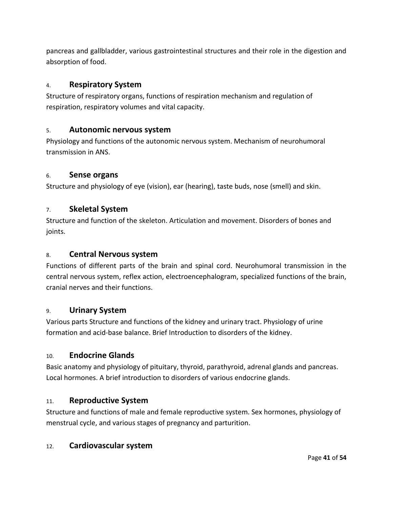pancreas and gallbladder, various gastrointestinal structures and their role in the digestion and absorption of food.

## 4. **Respiratory System**

Structure of respiratory organs, functions of respiration mechanism and regulation of respiration, respiratory volumes and vital capacity.

## 5. **Autonomic nervous system**

Physiology and functions of the autonomic nervous system. Mechanism of neurohumoral transmission in ANS.

#### 6. **Sense organs**

Structure and physiology of eye (vision), ear (hearing), taste buds, nose (smell) and skin.

#### 7. **Skeletal System**

Structure and function of the skeleton. Articulation and movement. Disorders of bones and joints.

#### 8. **Central Nervous system**

Functions of different parts of the brain and spinal cord. Neurohumoral transmission in the central nervous system, reflex action, electroencephalogram, specialized functions of the brain, cranial nerves and their functions.

#### 9. **Urinary System**

Various parts Structure and functions of the kidney and urinary tract. Physiology of urine formation and acid-base balance. Brief Introduction to disorders of the kidney.

#### 10. **Endocrine Glands**

Basic anatomy and physiology of pituitary, thyroid, parathyroid, adrenal glands and pancreas. Local hormones. A brief introduction to disorders of various endocrine glands.

## 11. **Reproductive System**

Structure and functions of male and female reproductive system. Sex hormones, physiology of menstrual cycle, and various stages of pregnancy and parturition.

#### 12. **Cardiovascular system**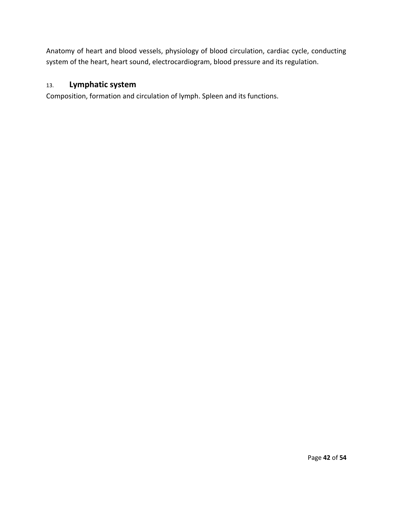Anatomy of heart and blood vessels, physiology of blood circulation, cardiac cycle, conducting system of the heart, heart sound, electrocardiogram, blood pressure and its regulation.

## 13. **Lymphatic system**

Composition, formation and circulation of lymph. Spleen and its functions.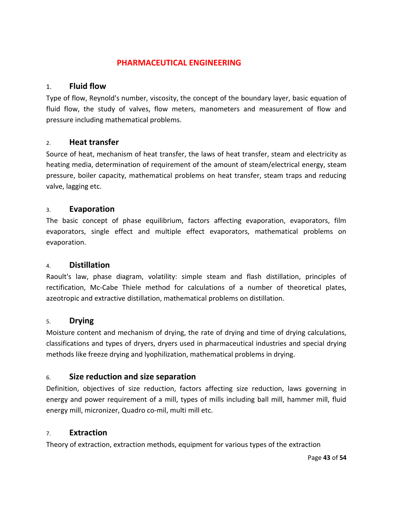## **PHARMACEUTICAL ENGINEERING**

#### 1. **Fluid flow**

Type of flow, Reynold's number, viscosity, the concept of the boundary layer, basic equation of fluid flow, the study of valves, flow meters, manometers and measurement of flow and pressure including mathematical problems.

#### 2. **Heat transfer**

Source of heat, mechanism of heat transfer, the laws of heat transfer, steam and electricity as heating media, determination of requirement of the amount of steam/electrical energy, steam pressure, boiler capacity, mathematical problems on heat transfer, steam traps and reducing valve, lagging etc.

#### 3. **Evaporation**

The basic concept of phase equilibrium, factors affecting evaporation, evaporators, film evaporators, single effect and multiple effect evaporators, mathematical problems on evaporation.

#### 4. **Distillation**

Raoult's law, phase diagram, volatility: simple steam and flash distillation, principles of rectification, Mc-Cabe Thiele method for calculations of a number of theoretical plates, azeotropic and extractive distillation, mathematical problems on distillation.

#### 5. **Drying**

Moisture content and mechanism of drying, the rate of drying and time of drying calculations, classifications and types of dryers, dryers used in pharmaceutical industries and special drying methods like freeze drying and lyophilization, mathematical problems in drying.

## 6. **Size reduction and size separation**

Definition, objectives of size reduction, factors affecting size reduction, laws governing in energy and power requirement of a mill, types of mills including ball mill, hammer mill, fluid energy mill, micronizer, Quadro co-mil, multi mill etc.

#### 7. **Extraction**

Theory of extraction, extraction methods, equipment for various types of the extraction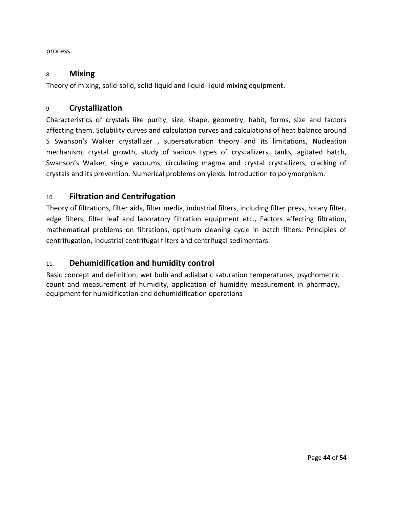process.

#### 8. **Mixing**

Theory of mixing, solid-solid, solid-liquid and liquid-liquid mixing equipment.

#### 9. **Crystallization**

Characteristics of crystals like purity, size, shape, geometry, habit, forms, size and factors affecting them. Solubility curves and calculation curves and calculations of heat balance around S Swanson's Walker crystallizer , supersaturation theory and its limitations, Nucleation mechanism, crystal growth, study of various types of crystallizers, tanks, agitated batch, Swanson's Walker, single vacuums, circulating magma and crystal crystallizers, cracking of crystals and its prevention. Numerical problems on yields. Introduction to polymorphism.

## 10. **Filtration and Centrifugation**

Theory of filtrations, filter aids, filter media, industrial filters, including filter press, rotary filter, edge filters, filter leaf and laboratory filtration equipment etc., Factors affecting filtration, mathematical problems on filtrations, optimum cleaning cycle in batch filters. Principles of centrifugation, industrial centrifugal filters and centrifugal sedimentars.

## 11. **Dehumidification and humidity control**

Basic concept and definition, wet bulb and adiabatic saturation temperatures, psychometric count and measurement of humidity, application of humidity measurement in pharmacy, equipment for humidification and dehumidification operations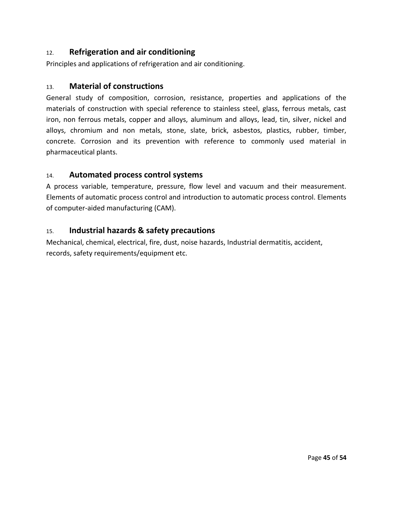## 12. **Refrigeration and air conditioning**

Principles and applications of refrigeration and air conditioning.

## 13. **Material of constructions**

General study of composition, corrosion, resistance, properties and applications of the materials of construction with special reference to stainless steel, glass, ferrous metals, cast iron, non ferrous metals, copper and alloys, aluminum and alloys, lead, tin, silver, nickel and alloys, chromium and non metals, stone, slate, brick, asbestos, plastics, rubber, timber, concrete. Corrosion and its prevention with reference to commonly used material in pharmaceutical plants.

## 14. **Automated process control systems**

A process variable, temperature, pressure, flow level and vacuum and their measurement. Elements of automatic process control and introduction to automatic process control. Elements of computer-aided manufacturing (CAM).

## 15. **Industrial hazards & safety precautions**

Mechanical, chemical, electrical, fire, dust, noise hazards, Industrial dermatitis, accident, records, safety requirements/equipment etc.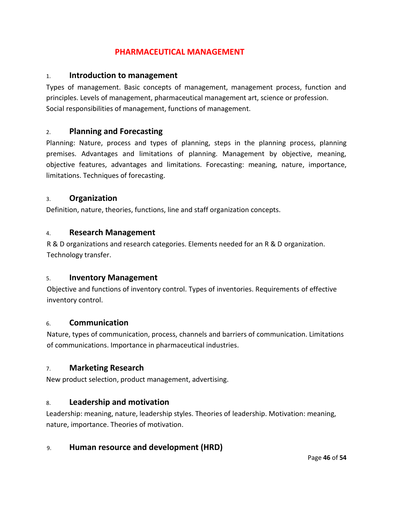## **PHARMACEUTICAL MANAGEMENT**

#### 1. **Introduction to management**

Types of management. Basic concepts of management, management process, function and principles. Levels of management, pharmaceutical management art, science or profession. Social responsibilities of management, functions of management.

## 2. **Planning and Forecasting**

Planning: Nature, process and types of planning, steps in the planning process, planning premises. Advantages and limitations of planning. Management by objective, meaning, objective features, advantages and limitations. Forecasting: meaning, nature, importance, limitations. Techniques of forecasting.

#### 3. **Organization**

Definition, nature, theories, functions, line and staff organization concepts.

#### 4. **Research Management**

R & D organizations and research categories. Elements needed for an R & D organization. Technology transfer.

#### 5. **Inventory Management**

Objective and functions of inventory control. Types of inventories. Requirements of effective inventory control.

#### 6. **Communication**

Nature, types of communication, process, channels and barriers of communication. Limitations of communications. Importance in pharmaceutical industries.

## 7. **Marketing Research**

New product selection, product management, advertising.

## 8. **Leadership and motivation**

Leadership: meaning, nature, leadership styles. Theories of leadership. Motivation: meaning, nature, importance. Theories of motivation.

## 9. **Human resource and development (HRD)**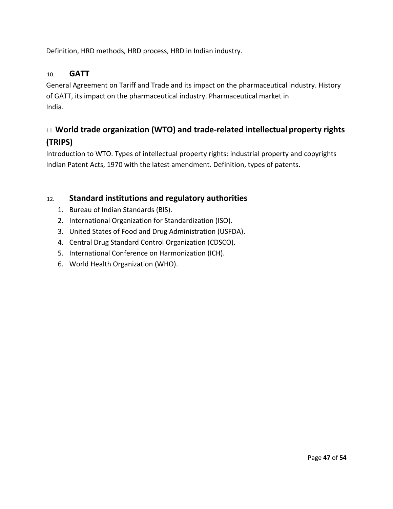Definition, HRD methods, HRD process, HRD in Indian industry.

## 10. **GATT**

General Agreement on Tariff and Trade and its impact on the pharmaceutical industry. History of GATT, its impact on the pharmaceutical industry. Pharmaceutical market in India.

# 11. **World trade organization (WTO) and trade-related intellectual property rights (TRIPS)**

Introduction to WTO. Types of intellectual property rights: industrial property and copyrights Indian Patent Acts, 1970 with the latest amendment. Definition, types of patents.

## 12. **Standard institutions and regulatory authorities**

- 1. Bureau of Indian Standards (BIS).
- 2. International Organization for Standardization (ISO).
- 3. United States of Food and Drug Administration (USFDA).
- 4. Central Drug Standard Control Organization (CDSCO).
- 5. International Conference on Harmonization (ICH).
- 6. World Health Organization (WHO).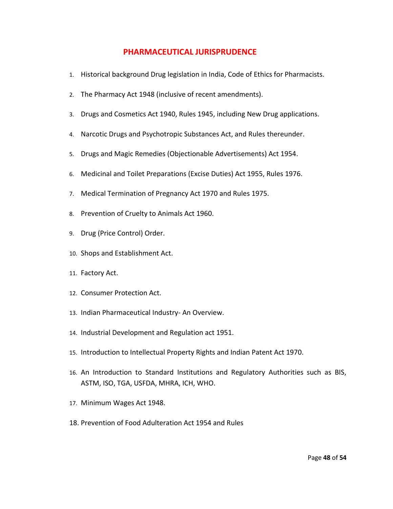#### **PHARMACEUTICAL JURISPRUDENCE**

- 1. Historical background Drug legislation in India, Code of Ethics for Pharmacists.
- 2. The Pharmacy Act 1948 (inclusive of recent amendments).
- 3. Drugs and Cosmetics Act 1940, Rules 1945, including New Drug applications.
- 4. Narcotic Drugs and Psychotropic Substances Act, and Rules thereunder.
- 5. Drugs and Magic Remedies (Objectionable Advertisements) Act 1954.
- 6. Medicinal and Toilet Preparations (Excise Duties) Act 1955, Rules 1976.
- 7. Medical Termination of Pregnancy Act 1970 and Rules 1975.
- 8. Prevention of Cruelty to Animals Act 1960.
- 9. Drug (Price Control) Order.
- 10. Shops and Establishment Act.
- 11. Factory Act.
- 12. Consumer Protection Act.
- 13. Indian Pharmaceutical Industry- An Overview.
- 14. Industrial Development and Regulation act 1951.
- 15. Introduction to Intellectual Property Rights and Indian Patent Act 1970.
- 16. An Introduction to Standard Institutions and Regulatory Authorities such as BIS, ASTM, ISO, TGA, USFDA, MHRA, ICH, WHO.
- 17. Minimum Wages Act 1948.
- 18. Prevention of Food Adulteration Act 1954 and Rules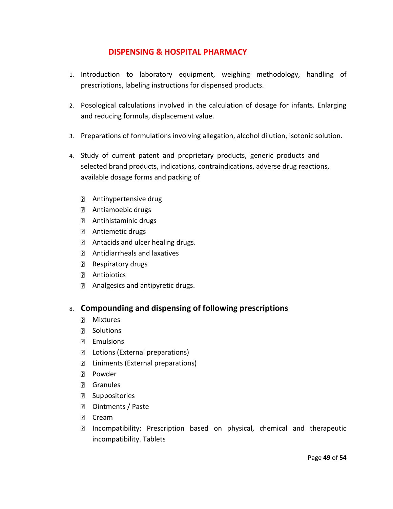## **DISPENSING & HOSPITAL PHARMACY**

- 1. Introduction to laboratory equipment, weighing methodology, handling of prescriptions, labeling instructions for dispensed products.
- 2. Posological calculations involved in the calculation of dosage for infants. Enlarging and reducing formula, displacement value.
- 3. Preparations of formulations involving allegation, alcohol dilution, isotonic solution.
- 4. Study of current patent and proprietary products, generic products and selected brand products, indications, contraindications, adverse drug reactions, available dosage forms and packing of
	- Antihypertensive drug
	- Antiamoebic drugs
	- Antihistaminic drugs
	- Antiemetic drugs
	- **E** Antacids and ulcer healing drugs.
	- Antidiarrheals and laxatives
	- Respiratory drugs
	- **2** Antibiotics
	- Analgesics and antipyretic drugs.

#### 8. **Compounding and dispensing of following prescriptions**

- **2** Mixtures
- **P** Solutions
- **P** Emulsions
- D Lotions (External preparations)
- **E** Liniments (External preparations)
- **Powder**
- **D** Granules
- **D** Suppositories
- **D** Ointments / Paste
- **D** Cream
- Incompatibility: Prescription based on physical, chemical and therapeutic incompatibility. Tablets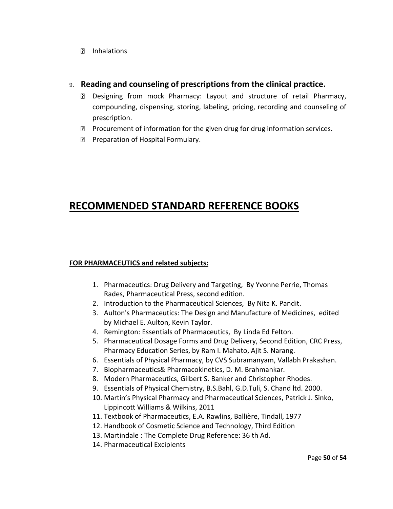Inhalations

#### 9. **Reading and counseling of prescriptions from the clinical practice.**

- Designing from mock Pharmacy: Layout and structure of retail Pharmacy, compounding, dispensing, storing, labeling, pricing, recording and counseling of prescription.
- $\mathbb D$  Procurement of information for the given drug for drug information services.
- **Preparation of Hospital Formulary.**

# **RECOMMENDED STANDARD REFERENCE BOOKS**

#### **FOR PHARMACEUTICS and related subjects:**

- 1. Pharmaceutics: Drug Delivery and Targeting, By Yvonne Perrie, Thomas Rades, Pharmaceutical Press, second edition.
- 2. Introduction to the Pharmaceutical Sciences, By Nita K. Pandit.
- 3. Aulton's Pharmaceutics: The Design and Manufacture of Medicines, edited by Michael E. Aulton, Kevin Taylor.
- 4. Remington: Essentials of Pharmaceutics, By Linda Ed Felton.
- 5. Pharmaceutical Dosage Forms and Drug Delivery, Second Edition, CRC Press, Pharmacy Education Series, by Ram I. Mahato, Ajit S. Narang.
- 6. Essentials of Physical Pharmacy, by CVS Subramanyam, Vallabh Prakashan.
- 7. Biopharmaceutics& Pharmacokinetics, D. M. Brahmankar.
- 8. Modern Pharmaceutics, Gilbert S. Banker and Christopher Rhodes.
- 9. Essentials of Physical Chemistry, B.S.Bahl, G.D.Tuli, S. Chand ltd. 2000.
- 10. Martin's Physical Pharmacy and Pharmaceutical Sciences, Patrick J. Sinko, Lippincott Williams & Wilkins, 2011
- 11. Textbook of Pharmaceutics, E.A. Rawlins, Ballière, Tindall, 1977
- 12. Handbook of Cosmetic Science and Technology, Third Edition
- 13. Martindale : The Complete Drug Reference: 36 th Ad.
- 14. Pharmaceutical Excipients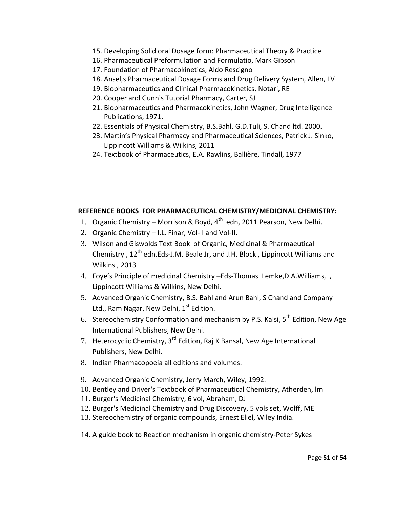- 15. Developing Solid oral Dosage form: Pharmaceutical Theory & Practice
- 16. Pharmaceutical Preformulation and Formulatio, Mark Gibson
- 17. Foundation of Pharmacokinetics, Aldo Rescigno
- 18. Ansel,s Pharmaceutical Dosage Forms and Drug Delivery System, Allen, LV
- 19. Biopharmaceutics and Clinical Pharmacokinetics, Notari, RE
- 20. Cooper and Gunn's Tutorial Pharmacy, Carter, SJ
- 21. Biopharmaceutics and Pharmacokinetics, John Wagner, Drug Intelligence Publications, 1971.
- 22. Essentials of Physical Chemistry, B.S.Bahl, G.D.Tuli, S. Chand ltd. 2000.
- 23. Martin's Physical Pharmacy and Pharmaceutical Sciences, Patrick J. Sinko, Lippincott Williams & Wilkins, 2011
- 24. Textbook of Pharmaceutics, E.A. Rawlins, Ballière, Tindall, 1977

#### **REFERENCE BOOKS FOR PHARMACEUTICAL CHEMISTRY/MEDICINAL CHEMISTRY:**

- 1. Organic Chemistry Morrison & Boyd, 4<sup>th</sup> edn, 2011 Pearson, New Delhi.
- 2. Organic Chemistry I.L. Finar, Vol- I and Vol-II.
- 3. Wilson and Giswolds Text Book of Organic, Medicinal & Pharmaeutical Chemistry,  $12^{th}$  edn.Eds-J.M. Beale Jr, and J.H. Block, Lippincott Williams and Wilkins , 2013
- 4. Foye's Principle of medicinal Chemistry –Eds-Thomas Lemke,D.A.Williams, , Lippincott Williams & Wilkins, New Delhi.
- 5. Advanced Organic Chemistry, B.S. Bahl and Arun Bahl, S Chand and Company Ltd., Ram Nagar, New Delhi, 1<sup>st</sup> Edition.
- 6. Stereochemistry Conformation and mechanism by P.S. Kalsi,  $5<sup>th</sup>$  Edition, New Age International Publishers, New Delhi.
- 7. Heterocyclic Chemistry, 3<sup>rd</sup> Edition, Raj K Bansal, New Age International Publishers, New Delhi.
- 8. Indian Pharmacopoeia all editions and volumes.
- 9. Advanced Organic Chemistry, Jerry March, Wiley, 1992.
- 10. Bentley and Driver's Textbook of Pharmaceutical Chemistry, Atherden, lm
- 11. Burger's Medicinal Chemistry, 6 vol, Abraham, DJ
- 12. Burger's Medicinal Chemistry and Drug Discovery, 5 vols set, Wolff, ME
- 13. Stereochemistry of organic compounds, Ernest Eliel, Wiley India.
- 14. A guide book to Reaction mechanism in organic chemistry-Peter Sykes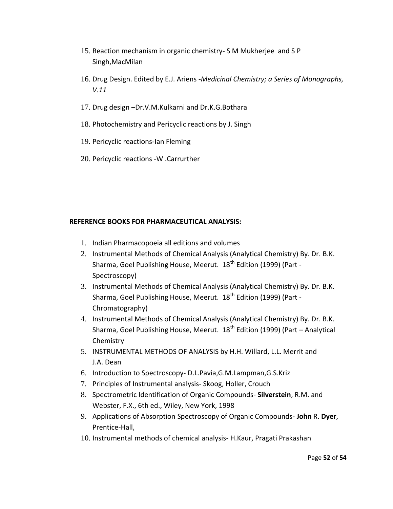- 15. Reaction mechanism in organic chemistry- S M Mukherjee and S P Singh,MacMilan
- 16. Drug Design. Edited by E.J. Ariens -*[Medicinal Chemistry; a Series of Monographs,](https://www.google.co.in/search?tbo=p&tbm=bks&q=bibliogroup:%22Medicinal+Chemistry%3B+a+Series+of+Monographs,+V.11%22&source=gbs_metadata_r&cad=2)  [V.11](https://www.google.co.in/search?tbo=p&tbm=bks&q=bibliogroup:%22Medicinal+Chemistry%3B+a+Series+of+Monographs,+V.11%22&source=gbs_metadata_r&cad=2)*
- 17. Drug design –Dr.V.M.Kulkarni and Dr.K.G.Bothara
- 18. Photochemistry and Pericyclic reactions by J. Singh
- 19. Pericyclic reactions-Ian Fleming
- 20. Pericyclic reactions -W .Carrurther

#### **REFERENCE BOOKS FOR PHARMACEUTICAL ANALYSIS:**

- 1. Indian Pharmacopoeia all editions and volumes
- 2. Instrumental Methods of Chemical Analysis (Analytical Chemistry) By. Dr. B.K. Sharma, Goel Publishing House, Meerut. 18<sup>th</sup> Edition (1999) (Part -Spectroscopy)
- 3. Instrumental Methods of Chemical Analysis (Analytical Chemistry) By. Dr. B.K. Sharma, Goel Publishing House, Meerut. 18<sup>th</sup> Edition (1999) (Part -Chromatography)
- 4. Instrumental Methods of Chemical Analysis (Analytical Chemistry) By. Dr. B.K. Sharma, Goel Publishing House, Meerut.  $18<sup>th</sup>$  Edition (1999) (Part – Analytical Chemistry
- 5. INSTRUMENTAL METHODS OF ANALYSIS by H.H. Willard, L.L. Merrit and J.A. Dean
- 6. Introduction to Spectroscopy- D.L.Pavia,G.M.Lampman,G.S.Kriz
- 7. Principles of Instrumental analysis- Skoog, Holler, Crouch
- 8. Spectrometric Identification of Organic Compounds- **Silverstein**, R.M. and Webster, F.X., 6th ed., Wiley, New York, 1998
- 9. Applications of Absorption Spectroscopy of Organic Compounds- **John** R. **Dyer**, Prentice-Hall,
- 10. Instrumental methods of chemical analysis- H.Kaur, Pragati Prakashan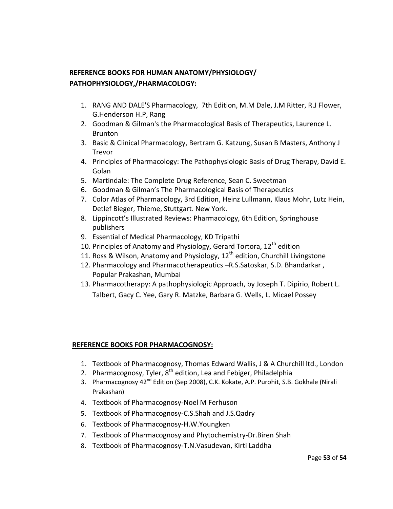## **REFERENCE BOOKS FOR HUMAN ANATOMY/PHYSIOLOGY/ PATHOPHYSIOLOGY,/PHARMACOLOGY:**

- 1. RANG AND DALE'S Pharmacology, 7th Edition, M.M Dale, J.M Ritter, R.J Flower, G.Henderson H.P, Rang
- 2. Goodman & Gilman's the Pharmacological Basis of Therapeutics, Laurence L. Brunton
- 3. Basic & Clinical Pharmacology, Bertram G. Katzung, Susan B Masters, Anthony J Trevor
- 4. Principles of Pharmacology: The Pathophysiologic Basis of Drug Therapy, David E. Golan
- 5. Martindale: The Complete Drug Reference, Sean C. Sweetman
- 6. Goodman & Gilman's The Pharmacological Basis of Therapeutics
- 7. Color Atlas of Pharmacology, 3rd Edition, Heinz Lullmann, Klaus Mohr, Lutz Hein, Detlef Bieger, Thieme, Stuttgart. New York.
- 8. Lippincott's Illustrated Reviews: Pharmacology, 6th Edition, Springhouse publishers
- 9. Essential of Medical Pharmacology, KD Tripathi
- 10. Principles of Anatomy and Physiology, Gerard Tortora,  $12<sup>th</sup>$  edition
- 11. Ross & Wilson, Anatomy and Physiology,  $12<sup>th</sup>$  edition, Churchill Livingstone
- 12. Pharmacology and Pharmacotherapeutics –R.S.Satoskar, S.D. Bhandarkar , Popular Prakashan, Mumbai
- 13. Pharmacotherapy: A pathophysiologic Approach, by Joseph T. Dipirio, Robert L. Talbert, Gacy C. Yee, Gary R. Matzke, Barbara G. Wells, L. Micael Possey

#### **REFERENCE BOOKS FOR PHARMACOGNOSY:**

- 1. Textbook of Pharmacognosy, Thomas Edward Wallis, J & A Churchill ltd., London
- 2. Pharmacognosy, Tyler,  $8<sup>th</sup>$  edition, Lea and Febiger, Philadelphia
- 3. Pharmacognosy 42<sup>nd</sup> Edition (Sep 2008), C.K. Kokate, A.P. Purohit, S.B. Gokhale (Nirali Prakashan)
- 4. Textbook of Pharmacognosy-Noel M Ferhuson
- 5. Textbook of Pharmacognosy-C.S.Shah and J.S.Qadry
- 6. Textbook of Pharmacognosy-H.W.Youngken
- 7. Textbook of Pharmacognosy and Phytochemistry-Dr.Biren Shah
- 8. Textbook of Pharmacognosy-T.N.Vasudevan, Kirti Laddha